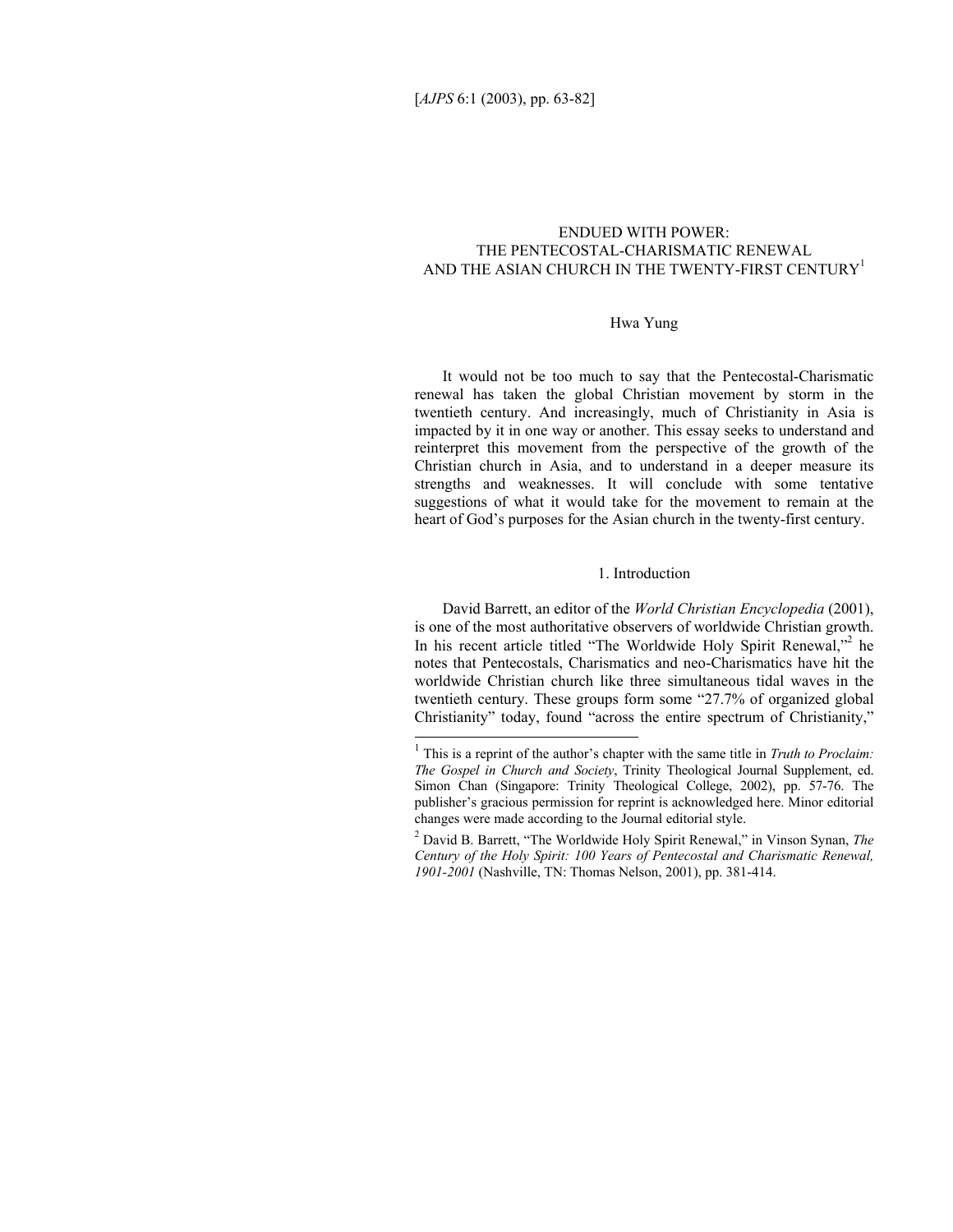$\overline{a}$ 

# ENDUED WITH POWER: THE PENTECOSTAL-CHARISMATIC RENEWAL AND THE ASIAN CHURCH IN THE TWENTY-FIRST CENTURY<sup>1</sup>

### Hwa Yung

It would not be too much to say that the Pentecostal-Charismatic renewal has taken the global Christian movement by storm in the twentieth century. And increasingly, much of Christianity in Asia is impacted by it in one way or another. This essay seeks to understand and reinterpret this movement from the perspective of the growth of the Christian church in Asia, and to understand in a deeper measure its strengths and weaknesses. It will conclude with some tentative suggestions of what it would take for the movement to remain at the heart of God's purposes for the Asian church in the twenty-first century.

# 1. Introduction

David Barrett, an editor of the *World Christian Encyclopedia* (2001), is one of the most authoritative observers of worldwide Christian growth. In his recent article titled "The Worldwide Holy Spirit Renewal,"<sup>2</sup> he notes that Pentecostals, Charismatics and neo-Charismatics have hit the worldwide Christian church like three simultaneous tidal waves in the twentieth century. These groups form some "27.7% of organized global Christianity" today, found "across the entire spectrum of Christianity,"

<sup>&</sup>lt;sup>1</sup> This is a reprint of the author's chapter with the same title in *Truth to Proclaim*: *The Gospel in Church and Society*, Trinity Theological Journal Supplement, ed. Simon Chan (Singapore: Trinity Theological College, 2002), pp. 57-76. The publisher's gracious permission for reprint is acknowledged here. Minor editorial changes were made according to the Journal editorial style.

<sup>2</sup> David B. Barrett, "The Worldwide Holy Spirit Renewal," in Vinson Synan, *The Century of the Holy Spirit: 100 Years of Pentecostal and Charismatic Renewal, 1901-2001* (Nashville, TN: Thomas Nelson, 2001), pp. 381-414.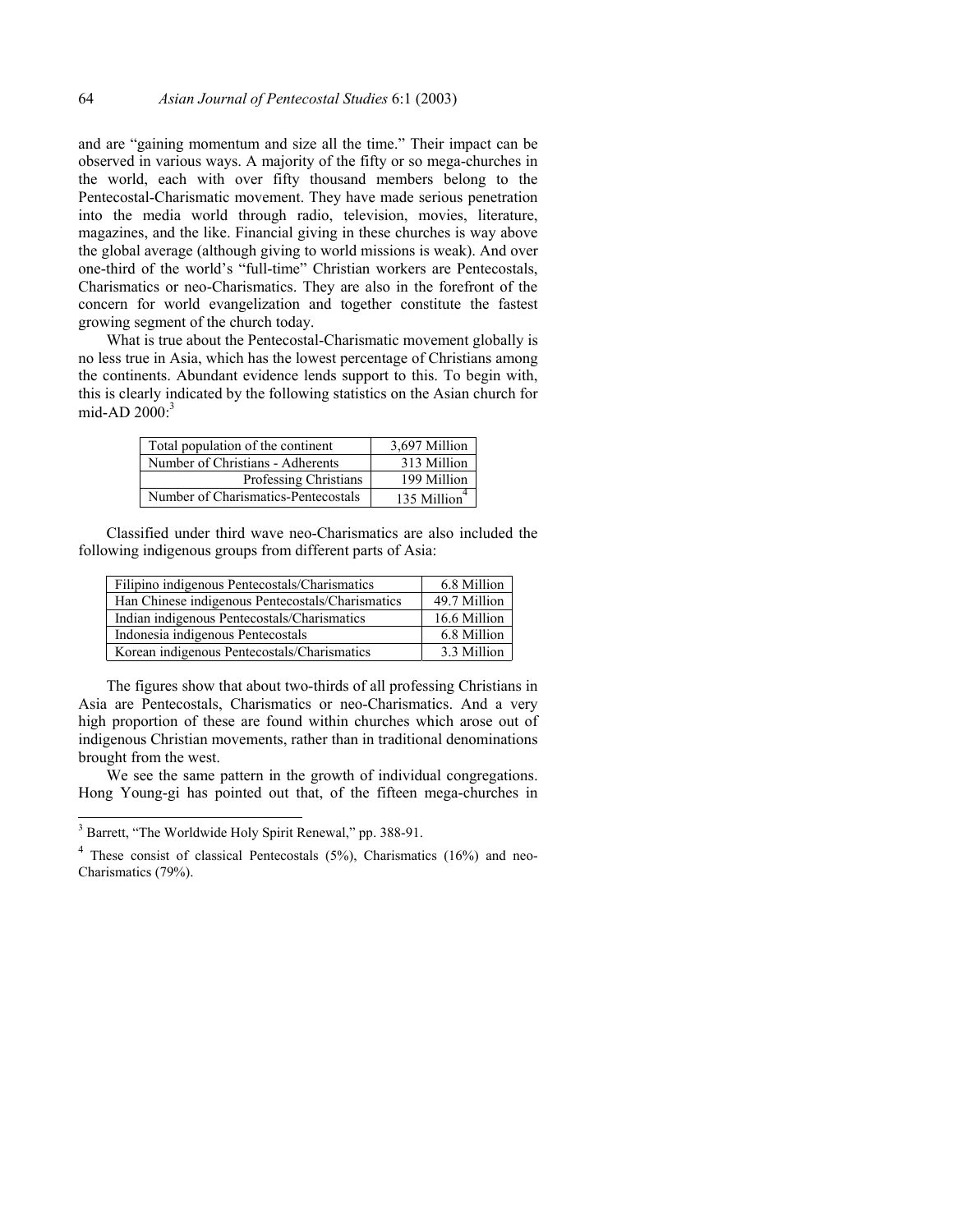and are "gaining momentum and size all the time." Their impact can be observed in various ways. A majority of the fifty or so mega-churches in the world, each with over fifty thousand members belong to the Pentecostal-Charismatic movement. They have made serious penetration into the media world through radio, television, movies, literature, magazines, and the like. Financial giving in these churches is way above the global average (although giving to world missions is weak). And over one-third of the world's "full-time" Christian workers are Pentecostals, Charismatics or neo-Charismatics. They are also in the forefront of the concern for world evangelization and together constitute the fastest growing segment of the church today.

What is true about the Pentecostal-Charismatic movement globally is no less true in Asia, which has the lowest percentage of Christians among the continents. Abundant evidence lends support to this. To begin with, this is clearly indicated by the following statistics on the Asian church for mid-AD  $2000$ :<sup>3</sup>

| Total population of the continent   | 3,697 Million |
|-------------------------------------|---------------|
| Number of Christians - Adherents    | 313 Million   |
| <b>Professing Christians</b>        | 199 Million   |
| Number of Charismatics-Pentecostals | 135 Million   |

Classified under third wave neo-Charismatics are also included the following indigenous groups from different parts of Asia:

| Filipino indigenous Pentecostals/Charismatics    | 6.8 Million  |
|--------------------------------------------------|--------------|
| Han Chinese indigenous Pentecostals/Charismatics | 49.7 Million |
| Indian indigenous Pentecostals/Charismatics      | 16.6 Million |
| Indonesia indigenous Pentecostals                | 6.8 Million  |
| Korean indigenous Pentecostals/Charismatics      | 3.3 Million  |

The figures show that about two-thirds of all professing Christians in Asia are Pentecostals, Charismatics or neo-Charismatics. And a very high proportion of these are found within churches which arose out of indigenous Christian movements, rather than in traditional denominations brought from the west.

We see the same pattern in the growth of individual congregations. Hong Young-gi has pointed out that, of the fifteen mega-churches in

<sup>&</sup>lt;sup>3</sup> Barrett, "The Worldwide Holy Spirit Renewal," pp. 388-91.

<sup>4</sup> These consist of classical Pentecostals (5%), Charismatics (16%) and neo-Charismatics (79%).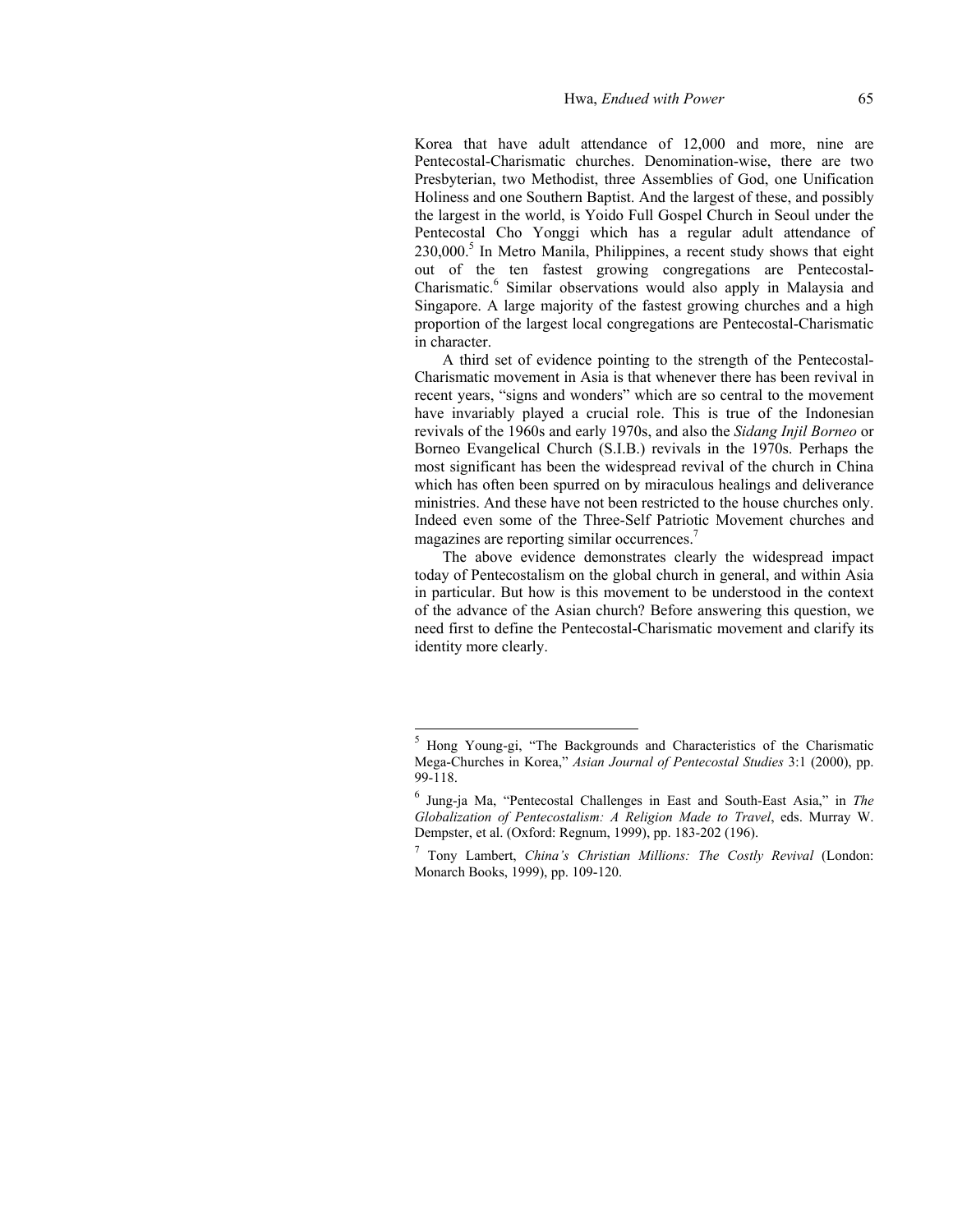Korea that have adult attendance of 12,000 and more, nine are Pentecostal-Charismatic churches. Denomination-wise, there are two Presbyterian, two Methodist, three Assemblies of God, one Unification Holiness and one Southern Baptist. And the largest of these, and possibly the largest in the world, is Yoido Full Gospel Church in Seoul under the Pentecostal Cho Yonggi which has a regular adult attendance of 230,000.<sup>5</sup> In Metro Manila, Philippines, a recent study shows that eight out of the ten fastest growing congregations are Pentecostal-Charismatic.<sup>6</sup> Similar observations would also apply in Malaysia and Singapore. A large majority of the fastest growing churches and a high proportion of the largest local congregations are Pentecostal-Charismatic in character.

A third set of evidence pointing to the strength of the Pentecostal-Charismatic movement in Asia is that whenever there has been revival in recent years, "signs and wonders" which are so central to the movement have invariably played a crucial role. This is true of the Indonesian revivals of the 1960s and early 1970s, and also the *Sidang Injil Borneo* or Borneo Evangelical Church (S.I.B.) revivals in the 1970s. Perhaps the most significant has been the widespread revival of the church in China which has often been spurred on by miraculous healings and deliverance ministries. And these have not been restricted to the house churches only. Indeed even some of the Three-Self Patriotic Movement churches and magazines are reporting similar occurrences.<sup>7</sup>

The above evidence demonstrates clearly the widespread impact today of Pentecostalism on the global church in general, and within Asia in particular. But how is this movement to be understood in the context of the advance of the Asian church? Before answering this question, we need first to define the Pentecostal-Charismatic movement and clarify its identity more clearly.

<sup>&</sup>lt;sup>5</sup> Hong Young-gi, "The Backgrounds and Characteristics of the Charismatic Mega-Churches in Korea," *Asian Journal of Pentecostal Studies* 3:1 (2000), pp. 99-118.

<sup>6</sup> Jung-ja Ma, "Pentecostal Challenges in East and South-East Asia," in *The Globalization of Pentecostalism: A Religion Made to Travel*, eds. Murray W. Dempster, et al. (Oxford: Regnum, 1999), pp. 183-202 (196).

<sup>7</sup> Tony Lambert, *China's Christian Millions: The Costly Revival* (London: Monarch Books, 1999), pp. 109-120.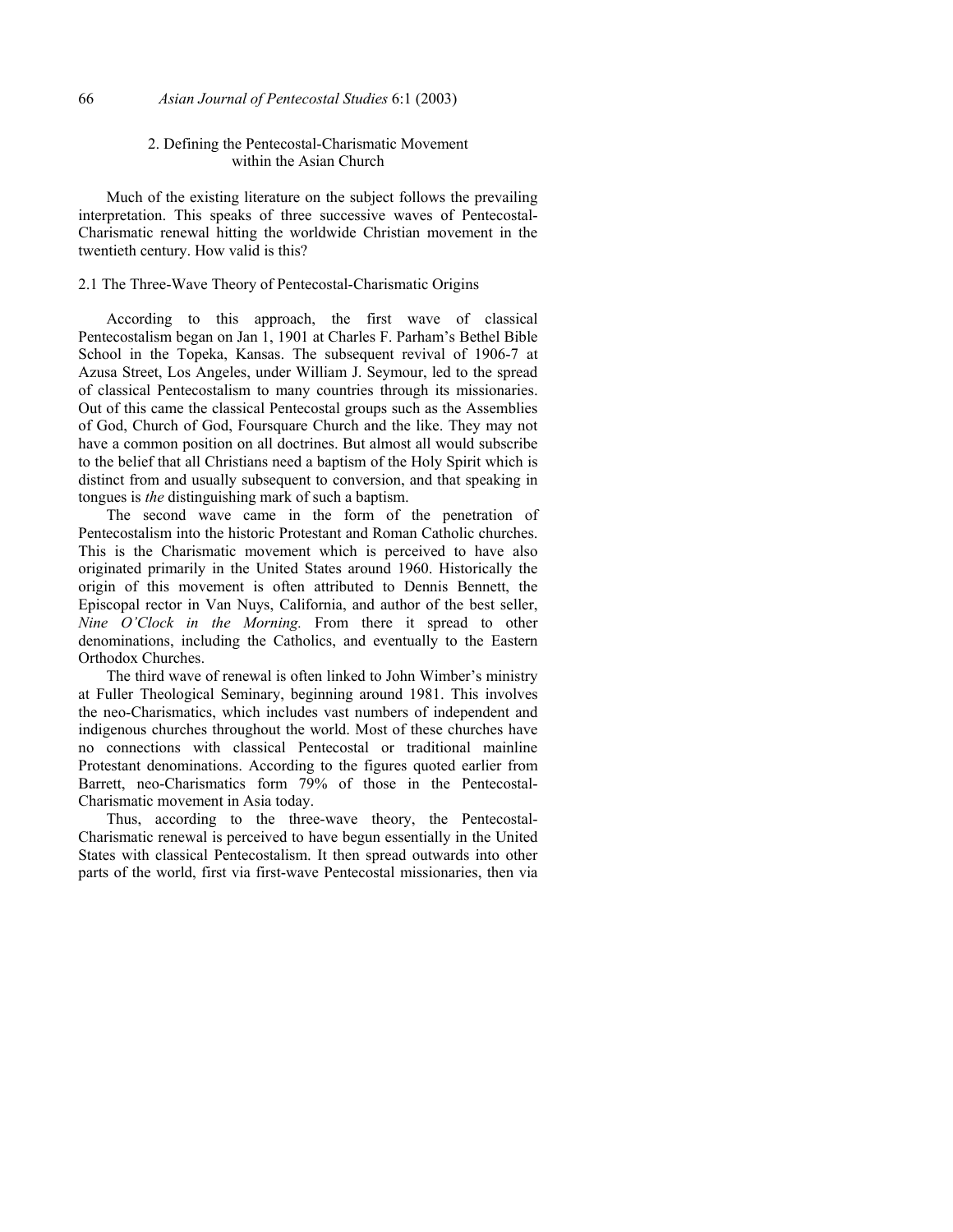### 2. Defining the Pentecostal-Charismatic Movement within the Asian Church

Much of the existing literature on the subject follows the prevailing interpretation. This speaks of three successive waves of Pentecostal-Charismatic renewal hitting the worldwide Christian movement in the twentieth century. How valid is this?

# 2.1 The Three-Wave Theory of Pentecostal-Charismatic Origins

According to this approach, the first wave of classical Pentecostalism began on Jan 1, 1901 at Charles F. Parham's Bethel Bible School in the Topeka, Kansas. The subsequent revival of 1906-7 at Azusa Street, Los Angeles, under William J. Seymour, led to the spread of classical Pentecostalism to many countries through its missionaries. Out of this came the classical Pentecostal groups such as the Assemblies of God, Church of God, Foursquare Church and the like. They may not have a common position on all doctrines. But almost all would subscribe to the belief that all Christians need a baptism of the Holy Spirit which is distinct from and usually subsequent to conversion, and that speaking in tongues is *the* distinguishing mark of such a baptism.

The second wave came in the form of the penetration of Pentecostalism into the historic Protestant and Roman Catholic churches. This is the Charismatic movement which is perceived to have also originated primarily in the United States around 1960. Historically the origin of this movement is often attributed to Dennis Bennett, the Episcopal rector in Van Nuys, California, and author of the best seller, *Nine O'Clock in the Morning.* From there it spread to other denominations, including the Catholics, and eventually to the Eastern Orthodox Churches.

The third wave of renewal is often linked to John Wimber's ministry at Fuller Theological Seminary, beginning around 1981. This involves the neo-Charismatics, which includes vast numbers of independent and indigenous churches throughout the world. Most of these churches have no connections with classical Pentecostal or traditional mainline Protestant denominations. According to the figures quoted earlier from Barrett, neo-Charismatics form 79% of those in the Pentecostal-Charismatic movement in Asia today.

Thus, according to the three-wave theory, the Pentecostal-Charismatic renewal is perceived to have begun essentially in the United States with classical Pentecostalism. It then spread outwards into other parts of the world, first via first-wave Pentecostal missionaries, then via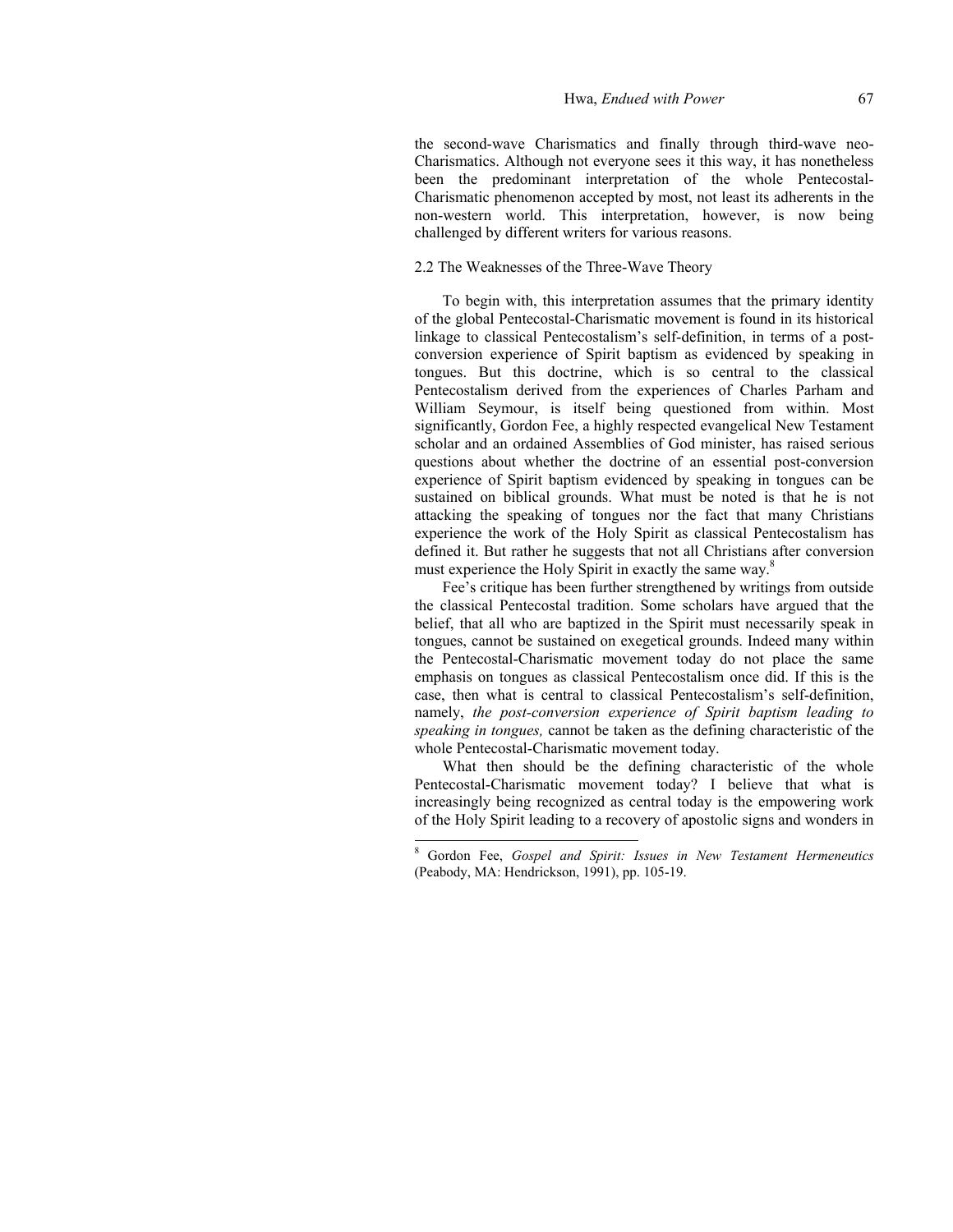the second-wave Charismatics and finally through third-wave neo-Charismatics. Although not everyone sees it this way, it has nonetheless been the predominant interpretation of the whole Pentecostal-Charismatic phenomenon accepted by most, not least its adherents in the non-western world. This interpretation, however, is now being challenged by different writers for various reasons.

### 2.2 The Weaknesses of the Three-Wave Theory

To begin with, this interpretation assumes that the primary identity of the global Pentecostal-Charismatic movement is found in its historical linkage to classical Pentecostalism's self-definition, in terms of a postconversion experience of Spirit baptism as evidenced by speaking in tongues. But this doctrine, which is so central to the classical Pentecostalism derived from the experiences of Charles Parham and William Seymour, is itself being questioned from within. Most significantly, Gordon Fee, a highly respected evangelical New Testament scholar and an ordained Assemblies of God minister, has raised serious questions about whether the doctrine of an essential post-conversion experience of Spirit baptism evidenced by speaking in tongues can be sustained on biblical grounds. What must be noted is that he is not attacking the speaking of tongues nor the fact that many Christians experience the work of the Holy Spirit as classical Pentecostalism has defined it. But rather he suggests that not all Christians after conversion must experience the Holy Spirit in exactly the same way.<sup>8</sup>

Fee's critique has been further strengthened by writings from outside the classical Pentecostal tradition. Some scholars have argued that the belief, that all who are baptized in the Spirit must necessarily speak in tongues, cannot be sustained on exegetical grounds. Indeed many within the Pentecostal-Charismatic movement today do not place the same emphasis on tongues as classical Pentecostalism once did. If this is the case, then what is central to classical Pentecostalism's self-definition, namely, *the post-conversion experience of Spirit baptism leading to speaking in tongues,* cannot be taken as the defining characteristic of the whole Pentecostal-Charismatic movement today.

What then should be the defining characteristic of the whole Pentecostal-Charismatic movement today? I believe that what is increasingly being recognized as central today is the empowering work of the Holy Spirit leading to a recovery of apostolic signs and wonders in

<sup>8</sup> Gordon Fee, *Gospel and Spirit: Issues in New Testament Hermeneutics* (Peabody, MA: Hendrickson, 1991), pp. 105-19.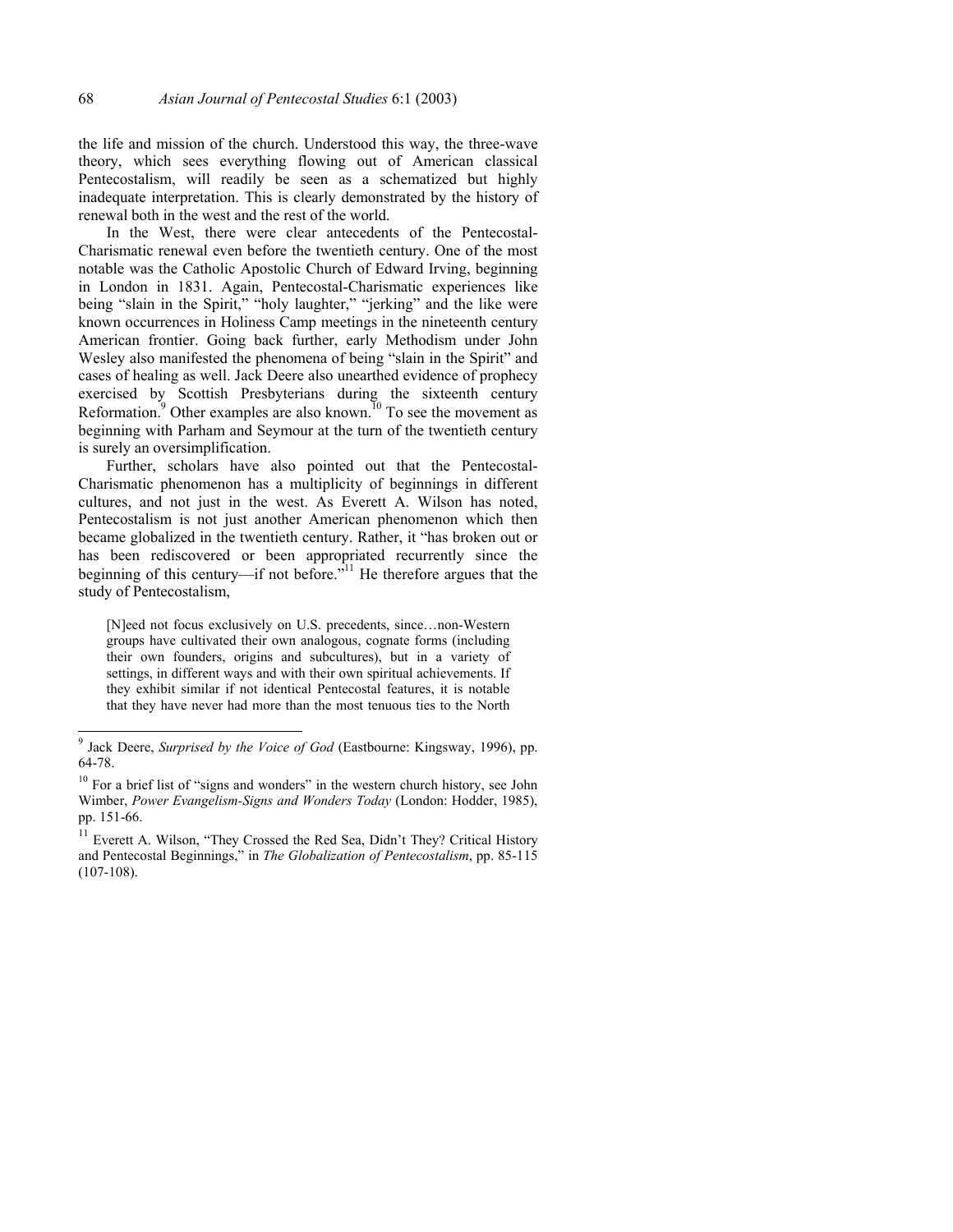the life and mission of the church. Understood this way, the three-wave theory, which sees everything flowing out of American classical Pentecostalism, will readily be seen as a schematized but highly inadequate interpretation. This is clearly demonstrated by the history of renewal both in the west and the rest of the world.

In the West, there were clear antecedents of the Pentecostal-Charismatic renewal even before the twentieth century. One of the most notable was the Catholic Apostolic Church of Edward Irving, beginning in London in 1831. Again, Pentecostal-Charismatic experiences like being "slain in the Spirit," "holy laughter," "jerking" and the like were known occurrences in Holiness Camp meetings in the nineteenth century American frontier. Going back further, early Methodism under John Wesley also manifested the phenomena of being "slain in the Spirit" and cases of healing as well. Jack Deere also unearthed evidence of prophecy exercised by Scottish Presbyterians during the sixteenth century Reformation.<sup>9</sup> Other examples are also known.<sup>10</sup> To see the movement as beginning with Parham and Seymour at the turn of the twentieth century is surely an oversimplification.

Further, scholars have also pointed out that the Pentecostal-Charismatic phenomenon has a multiplicity of beginnings in different cultures, and not just in the west. As Everett A. Wilson has noted, Pentecostalism is not just another American phenomenon which then became globalized in the twentieth century. Rather, it "has broken out or has been rediscovered or been appropriated recurrently since the beginning of this century—if not before.<sup> $\frac{1}{11}$ </sup> He therefore argues that the study of Pentecostalism,

[N]eed not focus exclusively on U.S. precedents, since…non-Western groups have cultivated their own analogous, cognate forms (including their own founders, origins and subcultures), but in a variety of settings, in different ways and with their own spiritual achievements. If they exhibit similar if not identical Pentecostal features, it is notable that they have never had more than the most tenuous ties to the North

 9 Jack Deere, *Surprised by the Voice of God* (Eastbourne: Kingsway, 1996), pp. 64-78.

<sup>&</sup>lt;sup>10</sup> For a brief list of "signs and wonders" in the western church history, see John Wimber, *Power Evangelism-Signs and Wonders Today* (London: Hodder, 1985), pp. 151-66.

<sup>&</sup>lt;sup>11</sup> Everett A. Wilson, "They Crossed the Red Sea, Didn't They? Critical History and Pentecostal Beginnings," in *The Globalization of Pentecostalism*, pp. 85-115 (107-108).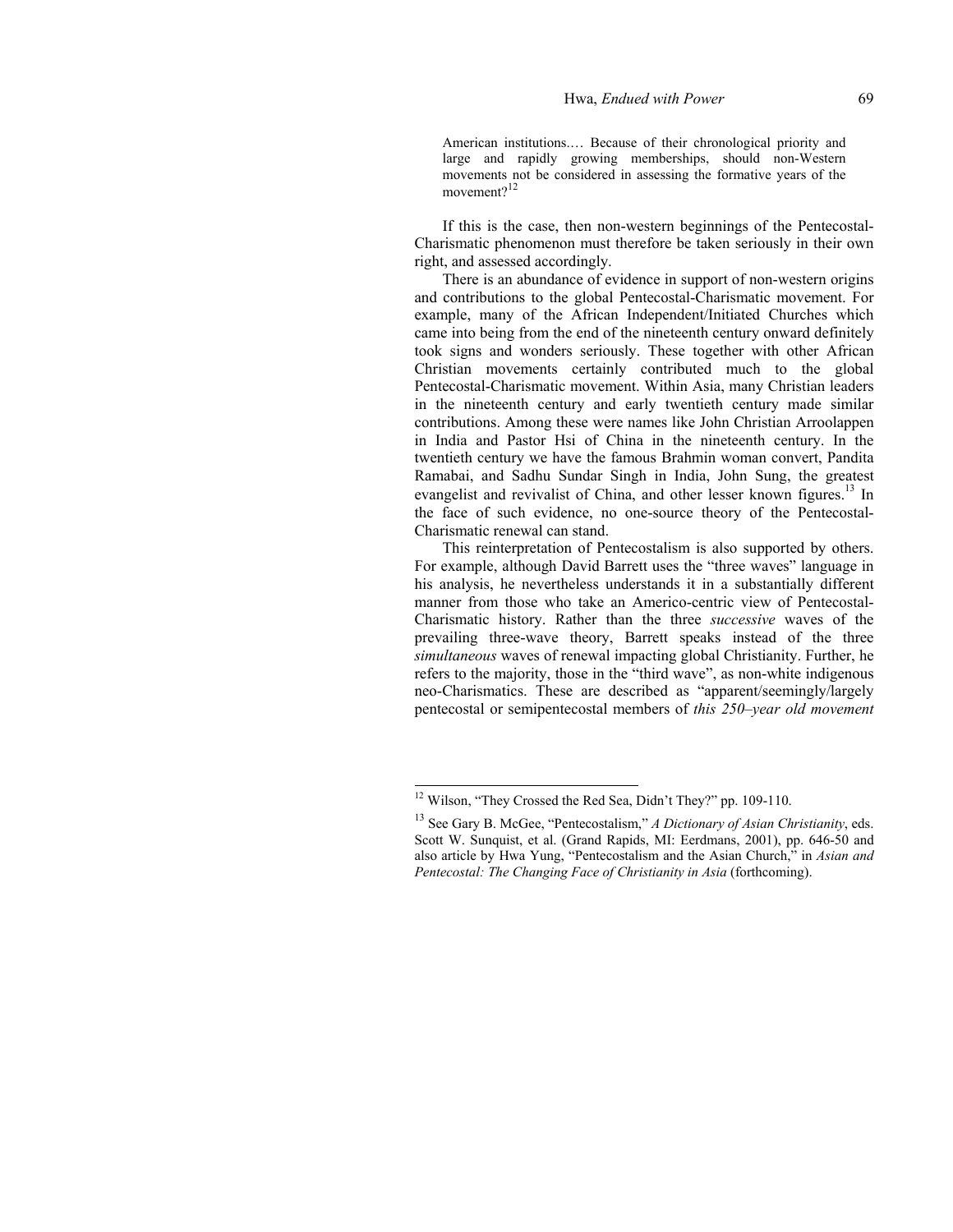American institutions.… Because of their chronological priority and large and rapidly growing memberships, should non-Western movements not be considered in assessing the formative years of the movement? $12$ 

If this is the case, then non-western beginnings of the Pentecostal-Charismatic phenomenon must therefore be taken seriously in their own right, and assessed accordingly.

There is an abundance of evidence in support of non-western origins and contributions to the global Pentecostal-Charismatic movement. For example, many of the African Independent/Initiated Churches which came into being from the end of the nineteenth century onward definitely took signs and wonders seriously. These together with other African Christian movements certainly contributed much to the global Pentecostal-Charismatic movement. Within Asia, many Christian leaders in the nineteenth century and early twentieth century made similar contributions. Among these were names like John Christian Arroolappen in India and Pastor Hsi of China in the nineteenth century. In the twentieth century we have the famous Brahmin woman convert, Pandita Ramabai, and Sadhu Sundar Singh in India, John Sung, the greatest evangelist and revivalist of China, and other lesser known figures.<sup>13</sup> In the face of such evidence, no one-source theory of the Pentecostal-Charismatic renewal can stand.

This reinterpretation of Pentecostalism is also supported by others. For example, although David Barrett uses the "three waves" language in his analysis, he nevertheless understands it in a substantially different manner from those who take an Americo-centric view of Pentecostal-Charismatic history. Rather than the three *successive* waves of the prevailing three-wave theory, Barrett speaks instead of the three *simultaneous* waves of renewal impacting global Christianity. Further, he refers to the majority, those in the "third wave", as non-white indigenous neo-Charismatics. These are described as "apparent/seemingly/largely pentecostal or semipentecostal members of *this 250–year old movement* 

<sup>&</sup>lt;sup>12</sup> Wilson, "They Crossed the Red Sea, Didn't They?" pp. 109-110.

<sup>13</sup> See Gary B. McGee, "Pentecostalism," *A Dictionary of Asian Christianity*, eds. Scott W. Sunquist, et al. (Grand Rapids, MI: Eerdmans, 2001), pp. 646-50 and also article by Hwa Yung, "Pentecostalism and the Asian Church," in *Asian and Pentecostal: The Changing Face of Christianity in Asia* (forthcoming).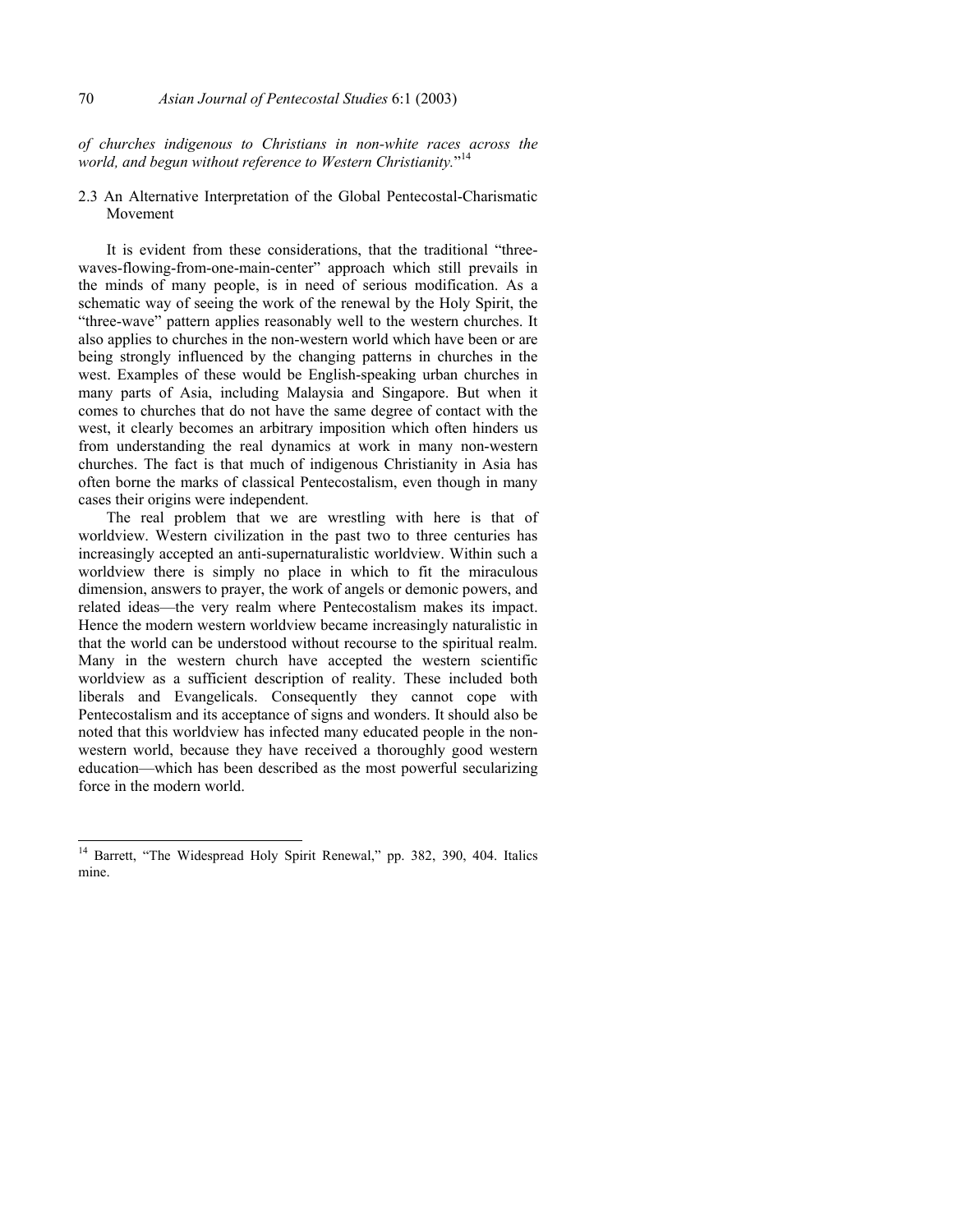*of churches indigenous to Christians in non-white races across the world, and begun without reference to Western Christianity.*" 14

2.3 An Alternative Interpretation of the Global Pentecostal-Charismatic Movement

It is evident from these considerations, that the traditional "threewaves-flowing-from-one-main-center" approach which still prevails in the minds of many people, is in need of serious modification. As a schematic way of seeing the work of the renewal by the Holy Spirit, the "three-wave" pattern applies reasonably well to the western churches. It also applies to churches in the non-western world which have been or are being strongly influenced by the changing patterns in churches in the west. Examples of these would be English-speaking urban churches in many parts of Asia, including Malaysia and Singapore. But when it comes to churches that do not have the same degree of contact with the west, it clearly becomes an arbitrary imposition which often hinders us from understanding the real dynamics at work in many non-western churches. The fact is that much of indigenous Christianity in Asia has often borne the marks of classical Pentecostalism, even though in many cases their origins were independent.

The real problem that we are wrestling with here is that of worldview. Western civilization in the past two to three centuries has increasingly accepted an anti-supernaturalistic worldview. Within such a worldview there is simply no place in which to fit the miraculous dimension, answers to prayer, the work of angels or demonic powers, and related ideas—the very realm where Pentecostalism makes its impact. Hence the modern western worldview became increasingly naturalistic in that the world can be understood without recourse to the spiritual realm. Many in the western church have accepted the western scientific worldview as a sufficient description of reality. These included both liberals and Evangelicals. Consequently they cannot cope with Pentecostalism and its acceptance of signs and wonders. It should also be noted that this worldview has infected many educated people in the nonwestern world, because they have received a thoroughly good western education—which has been described as the most powerful secularizing force in the modern world.

<sup>&</sup>lt;sup>14</sup> Barrett, "The Widespread Holy Spirit Renewal," pp. 382, 390, 404. Italics mine.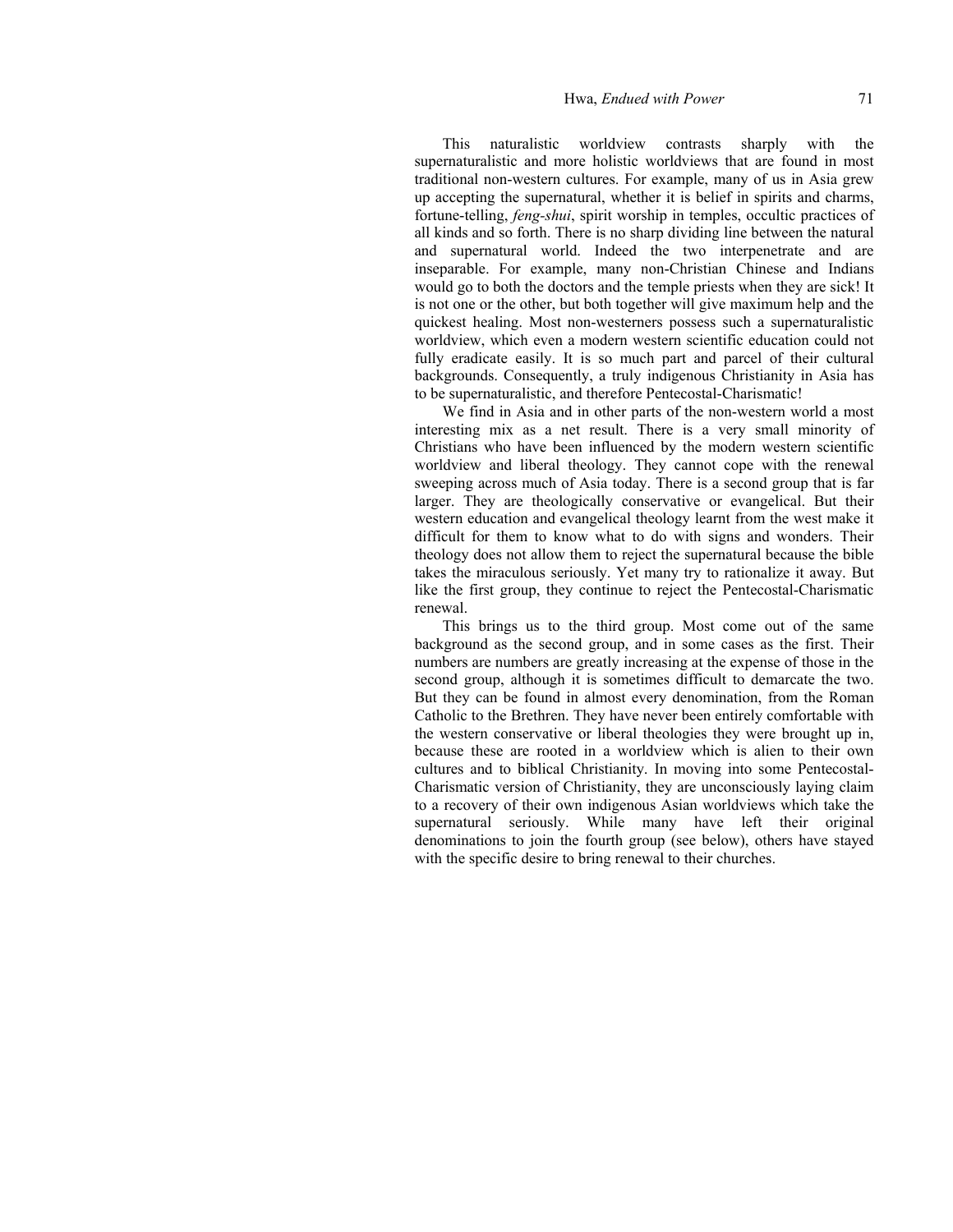This naturalistic worldview contrasts sharply with the supernaturalistic and more holistic worldviews that are found in most traditional non-western cultures. For example, many of us in Asia grew up accepting the supernatural, whether it is belief in spirits and charms, fortune-telling, *feng-shui*, spirit worship in temples, occultic practices of all kinds and so forth. There is no sharp dividing line between the natural and supernatural world. Indeed the two interpenetrate and are inseparable. For example, many non-Christian Chinese and Indians would go to both the doctors and the temple priests when they are sick! It is not one or the other, but both together will give maximum help and the quickest healing. Most non-westerners possess such a supernaturalistic worldview, which even a modern western scientific education could not fully eradicate easily. It is so much part and parcel of their cultural backgrounds. Consequently, a truly indigenous Christianity in Asia has to be supernaturalistic, and therefore Pentecostal-Charismatic!

We find in Asia and in other parts of the non-western world a most interesting mix as a net result. There is a very small minority of Christians who have been influenced by the modern western scientific worldview and liberal theology. They cannot cope with the renewal sweeping across much of Asia today. There is a second group that is far larger. They are theologically conservative or evangelical. But their western education and evangelical theology learnt from the west make it difficult for them to know what to do with signs and wonders. Their theology does not allow them to reject the supernatural because the bible takes the miraculous seriously. Yet many try to rationalize it away. But like the first group, they continue to reject the Pentecostal-Charismatic renewal.

This brings us to the third group. Most come out of the same background as the second group, and in some cases as the first. Their numbers are numbers are greatly increasing at the expense of those in the second group, although it is sometimes difficult to demarcate the two. But they can be found in almost every denomination, from the Roman Catholic to the Brethren. They have never been entirely comfortable with the western conservative or liberal theologies they were brought up in, because these are rooted in a worldview which is alien to their own cultures and to biblical Christianity. In moving into some Pentecostal-Charismatic version of Christianity, they are unconsciously laying claim to a recovery of their own indigenous Asian worldviews which take the supernatural seriously. While many have left their original denominations to join the fourth group (see below), others have stayed with the specific desire to bring renewal to their churches.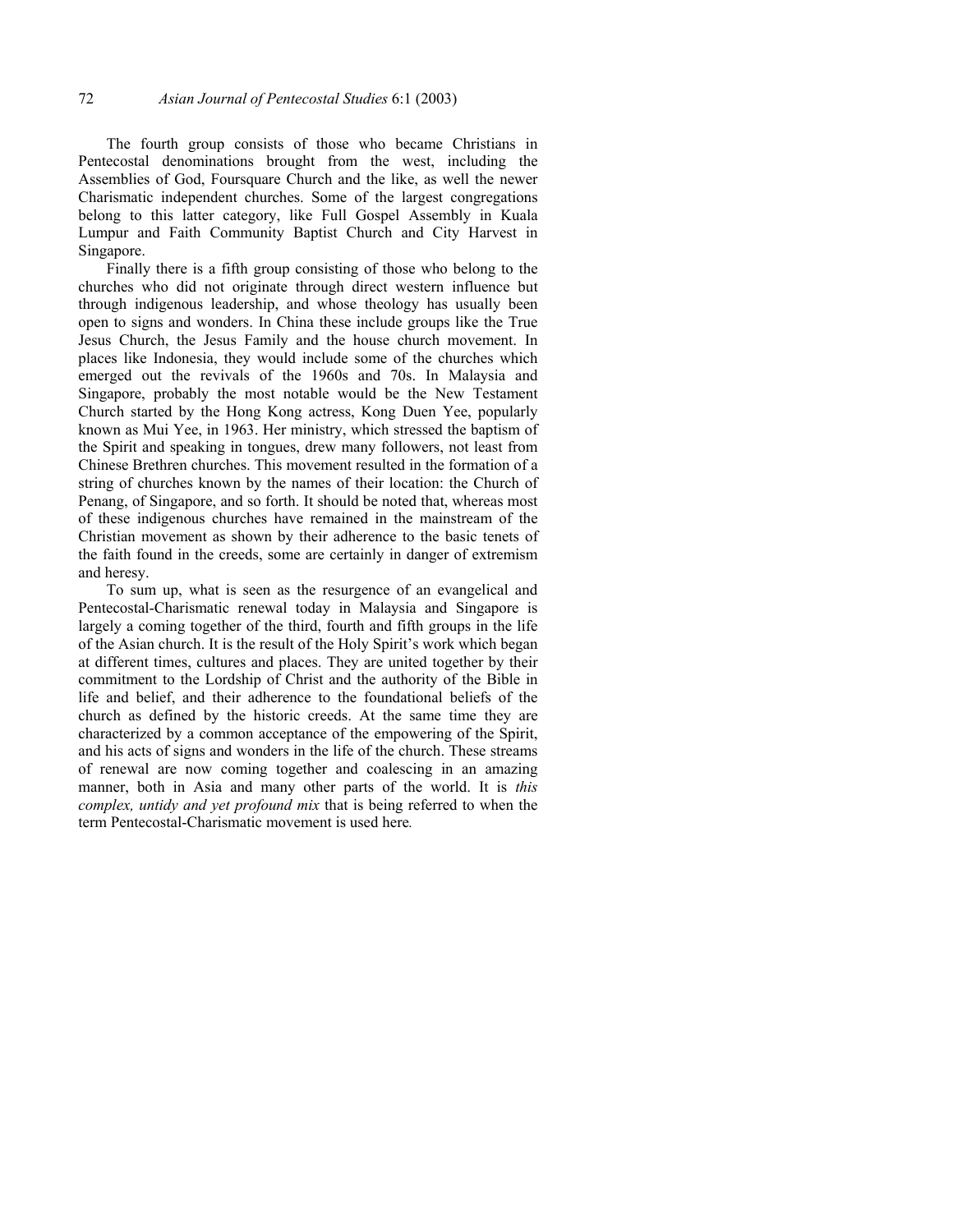The fourth group consists of those who became Christians in Pentecostal denominations brought from the west, including the Assemblies of God, Foursquare Church and the like, as well the newer Charismatic independent churches. Some of the largest congregations belong to this latter category, like Full Gospel Assembly in Kuala Lumpur and Faith Community Baptist Church and City Harvest in Singapore.

Finally there is a fifth group consisting of those who belong to the churches who did not originate through direct western influence but through indigenous leadership, and whose theology has usually been open to signs and wonders. In China these include groups like the True Jesus Church, the Jesus Family and the house church movement. In places like Indonesia, they would include some of the churches which emerged out the revivals of the 1960s and 70s. In Malaysia and Singapore, probably the most notable would be the New Testament Church started by the Hong Kong actress, Kong Duen Yee, popularly known as Mui Yee, in 1963. Her ministry, which stressed the baptism of the Spirit and speaking in tongues, drew many followers, not least from Chinese Brethren churches. This movement resulted in the formation of a string of churches known by the names of their location: the Church of Penang, of Singapore, and so forth. It should be noted that, whereas most of these indigenous churches have remained in the mainstream of the Christian movement as shown by their adherence to the basic tenets of the faith found in the creeds, some are certainly in danger of extremism and heresy.

To sum up, what is seen as the resurgence of an evangelical and Pentecostal-Charismatic renewal today in Malaysia and Singapore is largely a coming together of the third, fourth and fifth groups in the life of the Asian church. It is the result of the Holy Spirit's work which began at different times, cultures and places. They are united together by their commitment to the Lordship of Christ and the authority of the Bible in life and belief, and their adherence to the foundational beliefs of the church as defined by the historic creeds. At the same time they are characterized by a common acceptance of the empowering of the Spirit, and his acts of signs and wonders in the life of the church. These streams of renewal are now coming together and coalescing in an amazing manner, both in Asia and many other parts of the world. It is *this complex, untidy and yet profound mix* that is being referred to when the term Pentecostal-Charismatic movement is used here*.*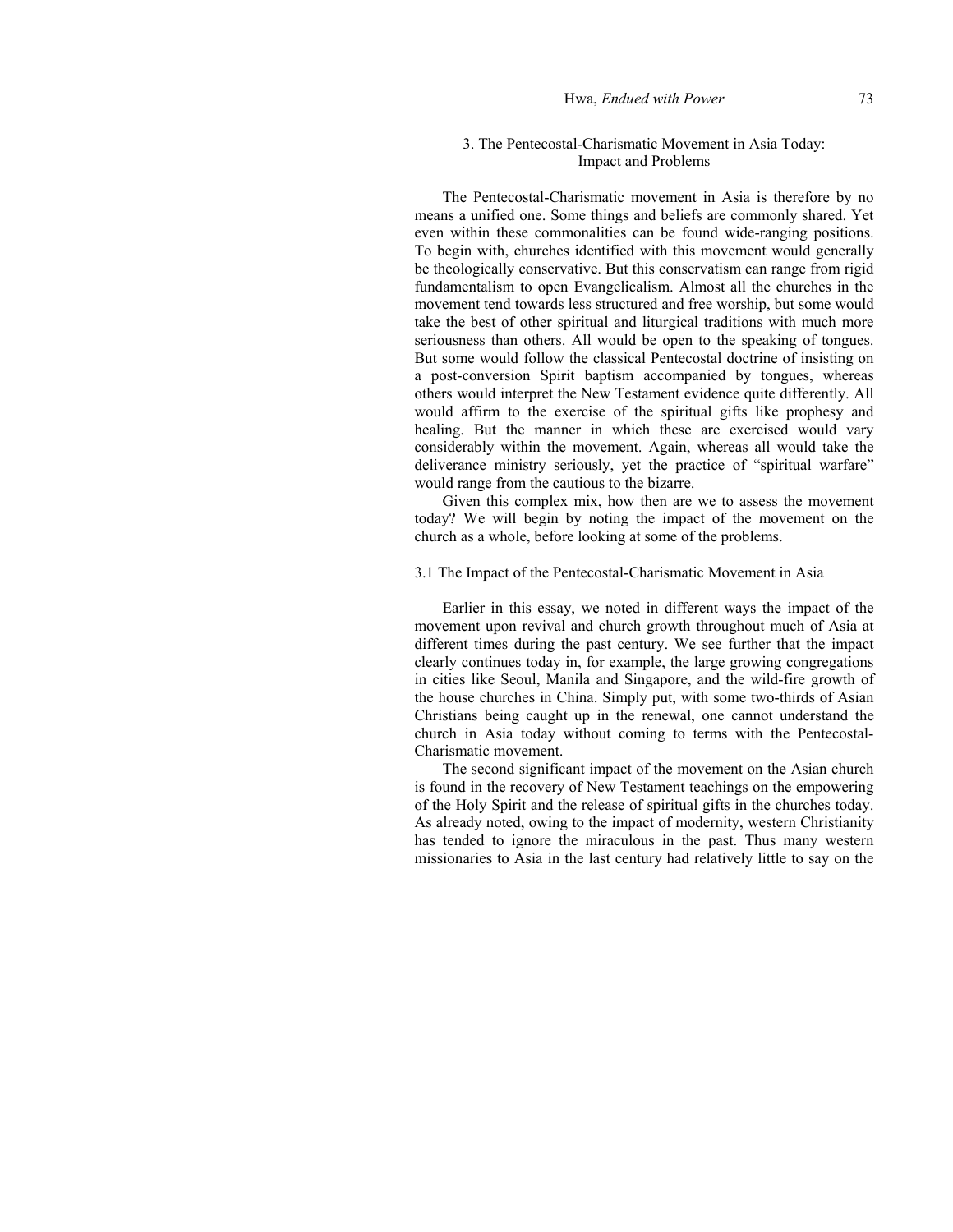# 3. The Pentecostal-Charismatic Movement in Asia Today: Impact and Problems

The Pentecostal-Charismatic movement in Asia is therefore by no means a unified one. Some things and beliefs are commonly shared. Yet even within these commonalities can be found wide-ranging positions. To begin with, churches identified with this movement would generally be theologically conservative. But this conservatism can range from rigid fundamentalism to open Evangelicalism. Almost all the churches in the movement tend towards less structured and free worship, but some would take the best of other spiritual and liturgical traditions with much more seriousness than others. All would be open to the speaking of tongues. But some would follow the classical Pentecostal doctrine of insisting on a post-conversion Spirit baptism accompanied by tongues, whereas others would interpret the New Testament evidence quite differently. All would affirm to the exercise of the spiritual gifts like prophesy and healing. But the manner in which these are exercised would vary considerably within the movement. Again, whereas all would take the deliverance ministry seriously, yet the practice of "spiritual warfare" would range from the cautious to the bizarre.

Given this complex mix, how then are we to assess the movement today? We will begin by noting the impact of the movement on the church as a whole, before looking at some of the problems.

# 3.1 The Impact of the Pentecostal-Charismatic Movement in Asia

Earlier in this essay, we noted in different ways the impact of the movement upon revival and church growth throughout much of Asia at different times during the past century. We see further that the impact clearly continues today in, for example, the large growing congregations in cities like Seoul, Manila and Singapore, and the wild-fire growth of the house churches in China. Simply put, with some two-thirds of Asian Christians being caught up in the renewal, one cannot understand the church in Asia today without coming to terms with the Pentecostal-Charismatic movement.

The second significant impact of the movement on the Asian church is found in the recovery of New Testament teachings on the empowering of the Holy Spirit and the release of spiritual gifts in the churches today. As already noted, owing to the impact of modernity, western Christianity has tended to ignore the miraculous in the past. Thus many western missionaries to Asia in the last century had relatively little to say on the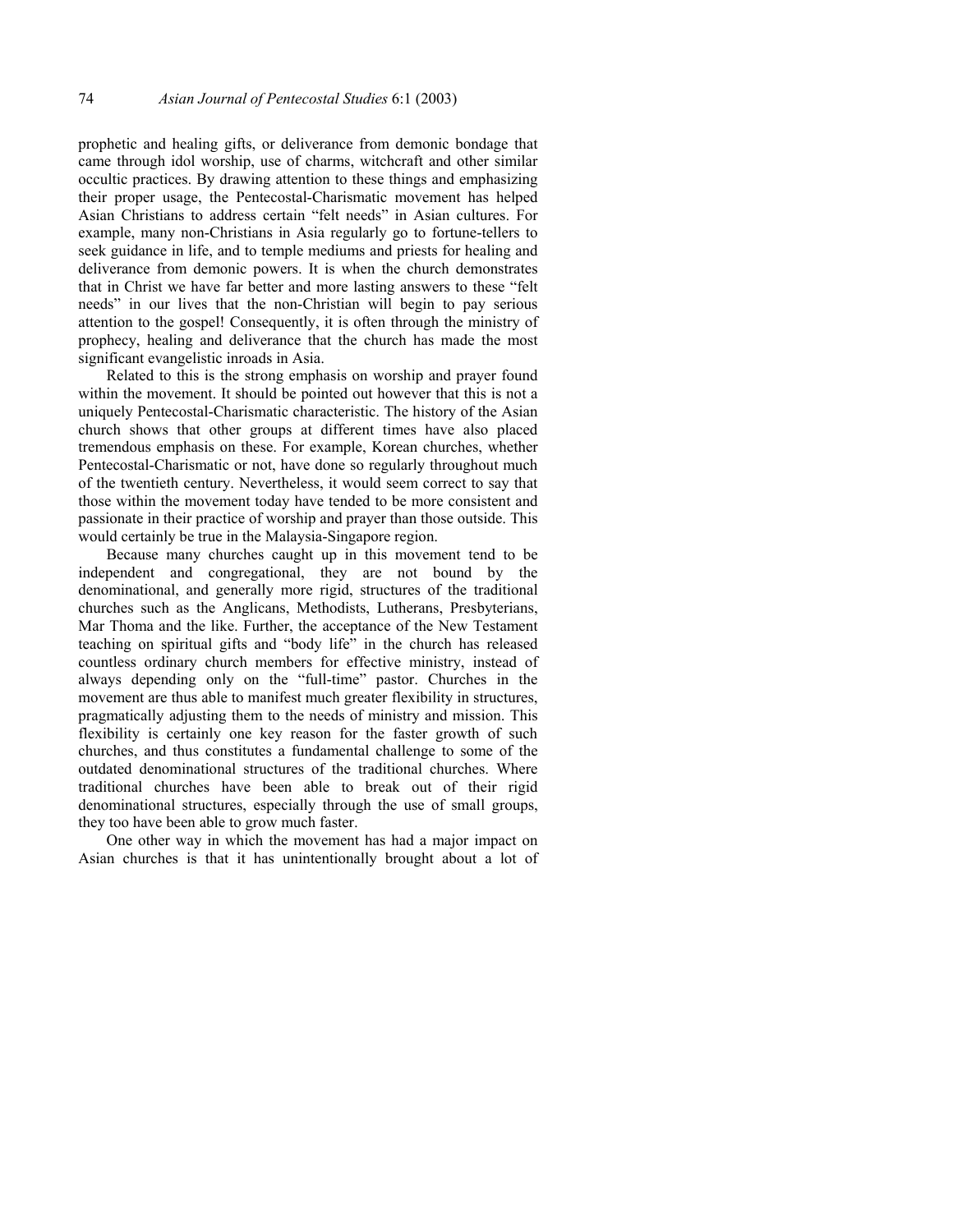prophetic and healing gifts, or deliverance from demonic bondage that came through idol worship, use of charms, witchcraft and other similar occultic practices. By drawing attention to these things and emphasizing their proper usage, the Pentecostal-Charismatic movement has helped Asian Christians to address certain "felt needs" in Asian cultures. For example, many non-Christians in Asia regularly go to fortune-tellers to seek guidance in life, and to temple mediums and priests for healing and deliverance from demonic powers. It is when the church demonstrates that in Christ we have far better and more lasting answers to these "felt needs" in our lives that the non-Christian will begin to pay serious attention to the gospel! Consequently, it is often through the ministry of prophecy, healing and deliverance that the church has made the most significant evangelistic inroads in Asia.

Related to this is the strong emphasis on worship and prayer found within the movement. It should be pointed out however that this is not a uniquely Pentecostal-Charismatic characteristic. The history of the Asian church shows that other groups at different times have also placed tremendous emphasis on these. For example, Korean churches, whether Pentecostal-Charismatic or not, have done so regularly throughout much of the twentieth century. Nevertheless, it would seem correct to say that those within the movement today have tended to be more consistent and passionate in their practice of worship and prayer than those outside. This would certainly be true in the Malaysia-Singapore region.

Because many churches caught up in this movement tend to be independent and congregational, they are not bound by the denominational, and generally more rigid, structures of the traditional churches such as the Anglicans, Methodists, Lutherans, Presbyterians, Mar Thoma and the like. Further, the acceptance of the New Testament teaching on spiritual gifts and "body life" in the church has released countless ordinary church members for effective ministry, instead of always depending only on the "full-time" pastor. Churches in the movement are thus able to manifest much greater flexibility in structures, pragmatically adjusting them to the needs of ministry and mission. This flexibility is certainly one key reason for the faster growth of such churches, and thus constitutes a fundamental challenge to some of the outdated denominational structures of the traditional churches. Where traditional churches have been able to break out of their rigid denominational structures, especially through the use of small groups, they too have been able to grow much faster.

One other way in which the movement has had a major impact on Asian churches is that it has unintentionally brought about a lot of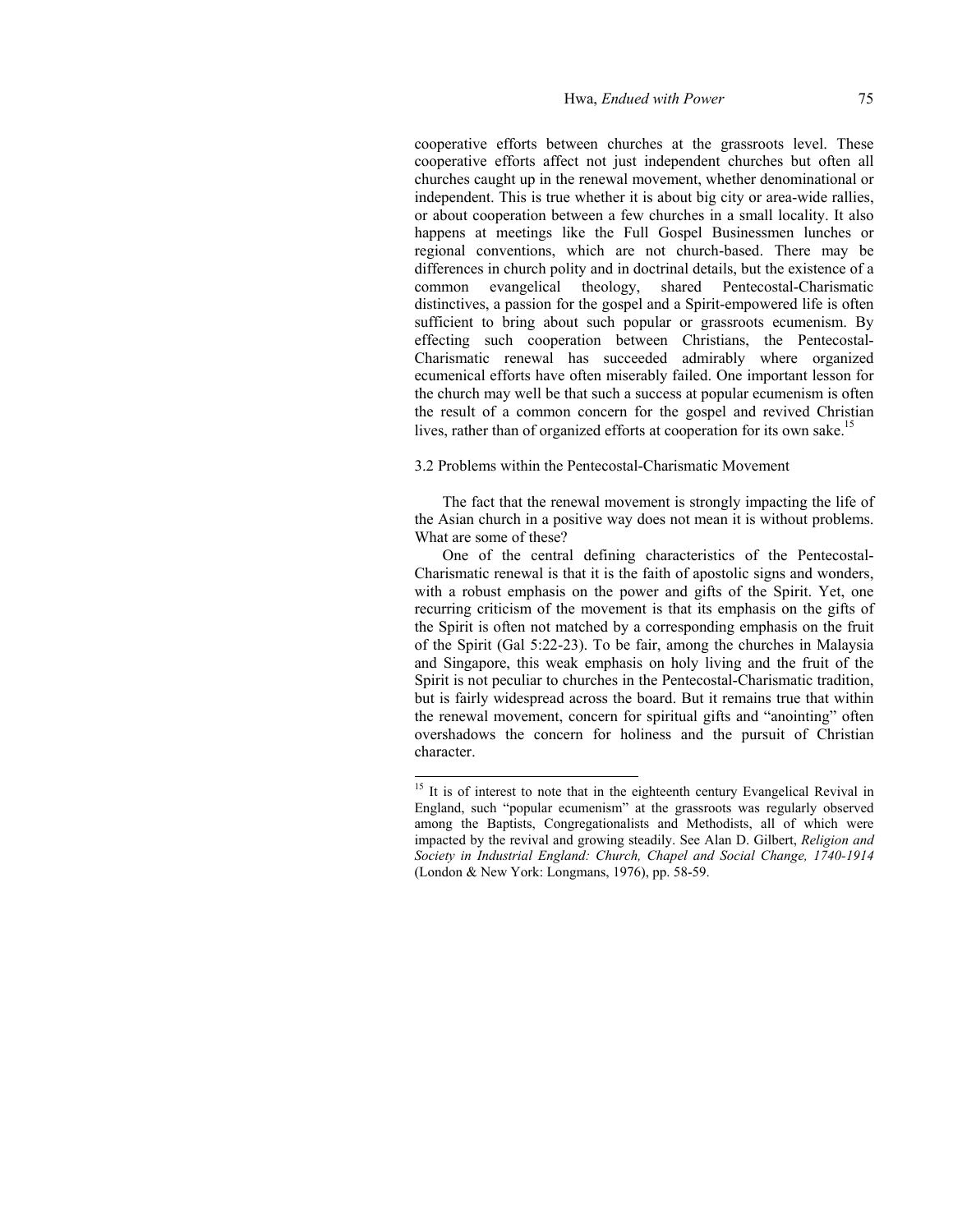cooperative efforts between churches at the grassroots level. These cooperative efforts affect not just independent churches but often all churches caught up in the renewal movement, whether denominational or independent. This is true whether it is about big city or area-wide rallies, or about cooperation between a few churches in a small locality. It also happens at meetings like the Full Gospel Businessmen lunches or regional conventions, which are not church-based. There may be differences in church polity and in doctrinal details, but the existence of a common evangelical theology, shared Pentecostal-Charismatic distinctives, a passion for the gospel and a Spirit-empowered life is often sufficient to bring about such popular or grassroots ecumenism. By effecting such cooperation between Christians, the Pentecostal-Charismatic renewal has succeeded admirably where organized ecumenical efforts have often miserably failed. One important lesson for the church may well be that such a success at popular ecumenism is often the result of a common concern for the gospel and revived Christian lives, rather than of organized efforts at cooperation for its own sake.<sup>15</sup>

# 3.2 Problems within the Pentecostal-Charismatic Movement

The fact that the renewal movement is strongly impacting the life of the Asian church in a positive way does not mean it is without problems. What are some of these?

One of the central defining characteristics of the Pentecostal-Charismatic renewal is that it is the faith of apostolic signs and wonders, with a robust emphasis on the power and gifts of the Spirit. Yet, one recurring criticism of the movement is that its emphasis on the gifts of the Spirit is often not matched by a corresponding emphasis on the fruit of the Spirit (Gal 5:22-23). To be fair, among the churches in Malaysia and Singapore, this weak emphasis on holy living and the fruit of the Spirit is not peculiar to churches in the Pentecostal-Charismatic tradition, but is fairly widespread across the board. But it remains true that within the renewal movement, concern for spiritual gifts and "anointing" often overshadows the concern for holiness and the pursuit of Christian character.

 $15$  It is of interest to note that in the eighteenth century Evangelical Revival in England, such "popular ecumenism" at the grassroots was regularly observed among the Baptists, Congregationalists and Methodists, all of which were impacted by the revival and growing steadily. See Alan D. Gilbert, *Religion and Society in Industrial England: Church, Chapel and Social Change, 1740-1914* (London & New York: Longmans, 1976), pp. 58-59.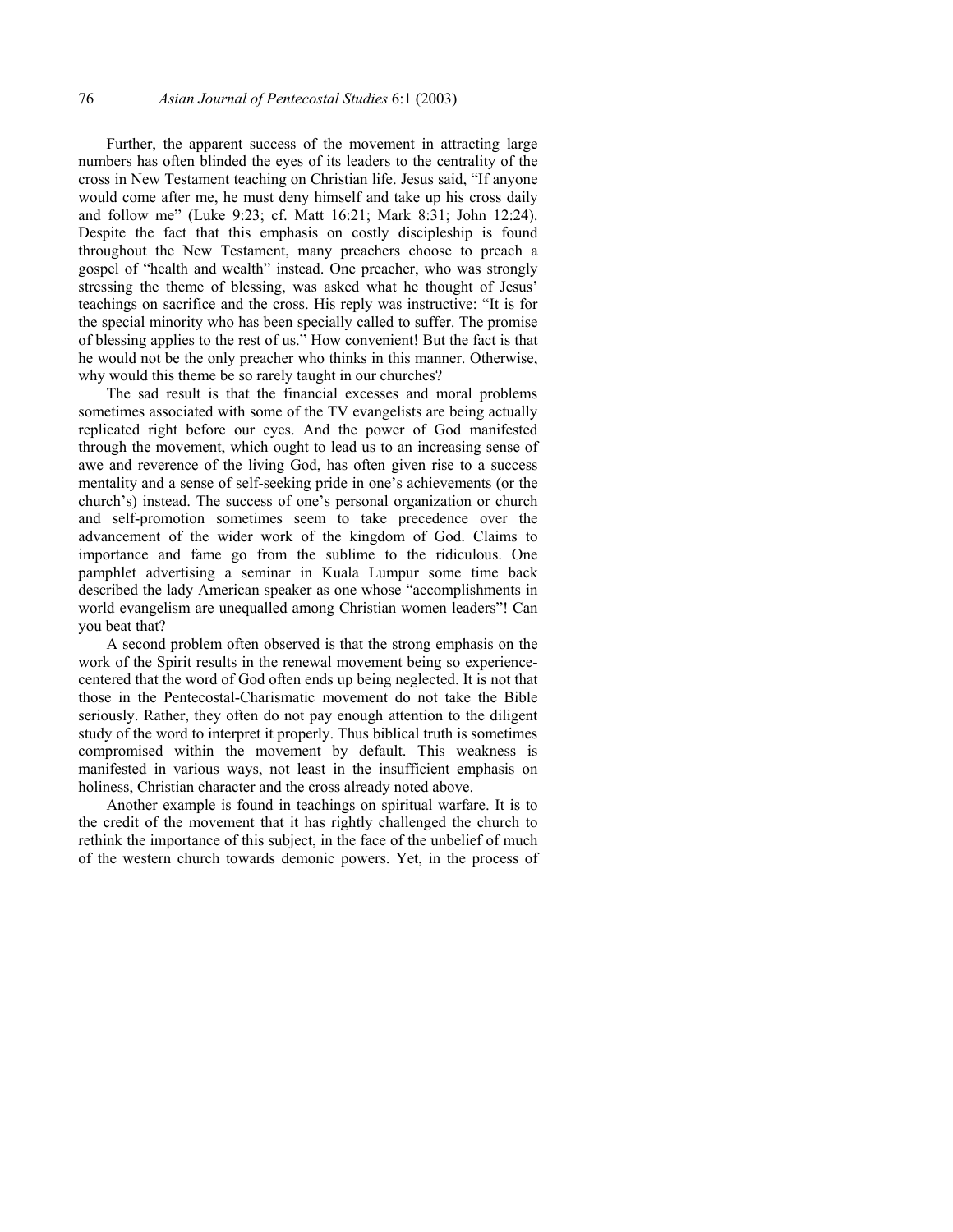Further, the apparent success of the movement in attracting large numbers has often blinded the eyes of its leaders to the centrality of the cross in New Testament teaching on Christian life. Jesus said, "If anyone would come after me, he must deny himself and take up his cross daily and follow me" (Luke 9:23; cf. Matt 16:21; Mark 8:31; John 12:24). Despite the fact that this emphasis on costly discipleship is found throughout the New Testament, many preachers choose to preach a gospel of "health and wealth" instead. One preacher, who was strongly stressing the theme of blessing, was asked what he thought of Jesus' teachings on sacrifice and the cross. His reply was instructive: "It is for the special minority who has been specially called to suffer. The promise of blessing applies to the rest of us." How convenient! But the fact is that he would not be the only preacher who thinks in this manner. Otherwise, why would this theme be so rarely taught in our churches?

The sad result is that the financial excesses and moral problems sometimes associated with some of the TV evangelists are being actually replicated right before our eyes. And the power of God manifested through the movement, which ought to lead us to an increasing sense of awe and reverence of the living God, has often given rise to a success mentality and a sense of self-seeking pride in one's achievements (or the church's) instead. The success of one's personal organization or church and self-promotion sometimes seem to take precedence over the advancement of the wider work of the kingdom of God. Claims to importance and fame go from the sublime to the ridiculous. One pamphlet advertising a seminar in Kuala Lumpur some time back described the lady American speaker as one whose "accomplishments in world evangelism are unequalled among Christian women leaders"! Can you beat that?

A second problem often observed is that the strong emphasis on the work of the Spirit results in the renewal movement being so experiencecentered that the word of God often ends up being neglected. It is not that those in the Pentecostal-Charismatic movement do not take the Bible seriously. Rather, they often do not pay enough attention to the diligent study of the word to interpret it properly. Thus biblical truth is sometimes compromised within the movement by default. This weakness is manifested in various ways, not least in the insufficient emphasis on holiness, Christian character and the cross already noted above.

Another example is found in teachings on spiritual warfare. It is to the credit of the movement that it has rightly challenged the church to rethink the importance of this subject, in the face of the unbelief of much of the western church towards demonic powers. Yet, in the process of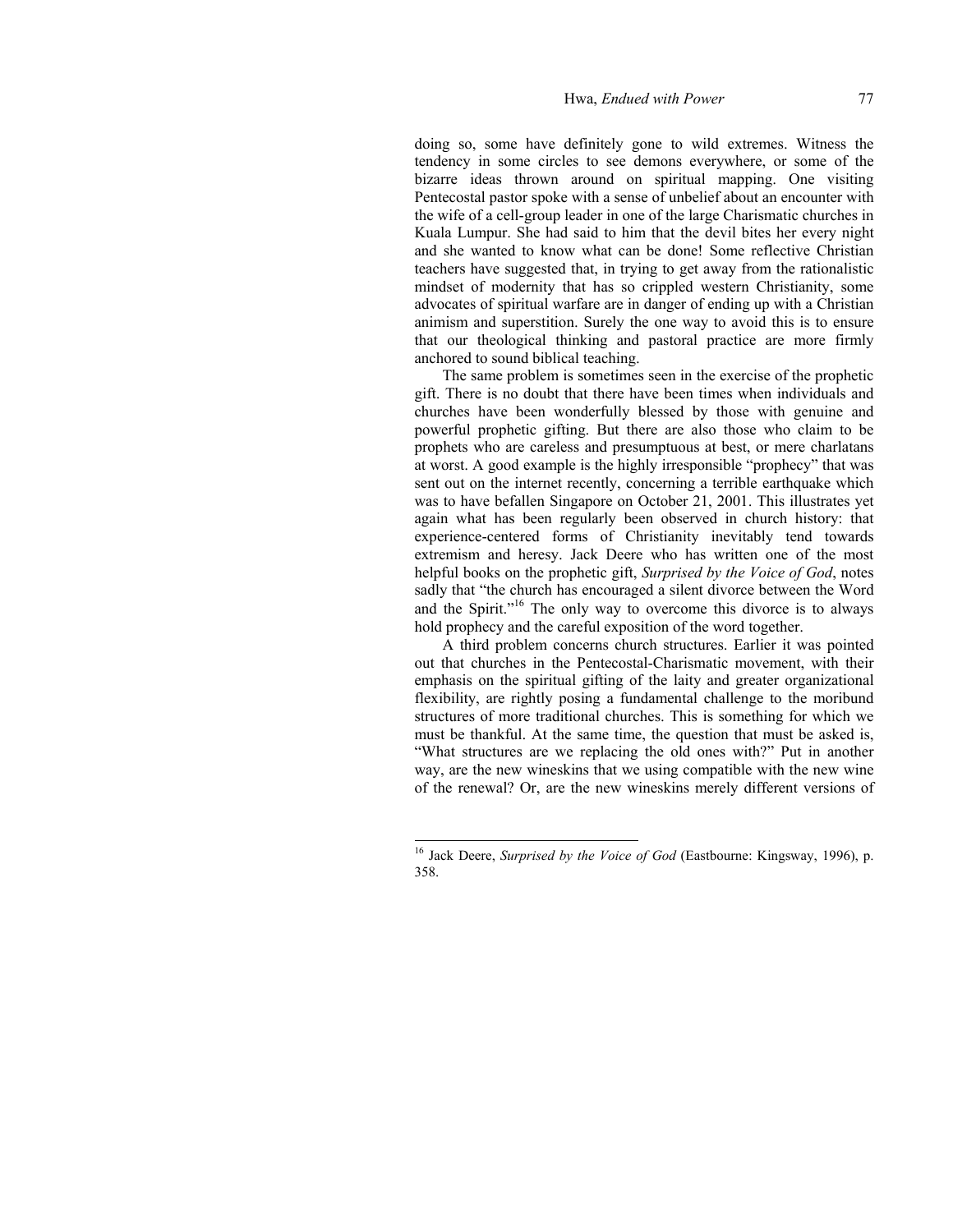doing so, some have definitely gone to wild extremes. Witness the tendency in some circles to see demons everywhere, or some of the bizarre ideas thrown around on spiritual mapping. One visiting Pentecostal pastor spoke with a sense of unbelief about an encounter with the wife of a cell-group leader in one of the large Charismatic churches in Kuala Lumpur. She had said to him that the devil bites her every night and she wanted to know what can be done! Some reflective Christian teachers have suggested that, in trying to get away from the rationalistic mindset of modernity that has so crippled western Christianity, some advocates of spiritual warfare are in danger of ending up with a Christian animism and superstition. Surely the one way to avoid this is to ensure that our theological thinking and pastoral practice are more firmly anchored to sound biblical teaching.

The same problem is sometimes seen in the exercise of the prophetic gift. There is no doubt that there have been times when individuals and churches have been wonderfully blessed by those with genuine and powerful prophetic gifting. But there are also those who claim to be prophets who are careless and presumptuous at best, or mere charlatans at worst. A good example is the highly irresponsible "prophecy" that was sent out on the internet recently, concerning a terrible earthquake which was to have befallen Singapore on October 21, 2001. This illustrates yet again what has been regularly been observed in church history: that experience-centered forms of Christianity inevitably tend towards extremism and heresy. Jack Deere who has written one of the most helpful books on the prophetic gift, *Surprised by the Voice of God*, notes sadly that "the church has encouraged a silent divorce between the Word and the Spirit."<sup>16</sup> The only way to overcome this divorce is to always hold prophecy and the careful exposition of the word together.

A third problem concerns church structures. Earlier it was pointed out that churches in the Pentecostal-Charismatic movement, with their emphasis on the spiritual gifting of the laity and greater organizational flexibility, are rightly posing a fundamental challenge to the moribund structures of more traditional churches. This is something for which we must be thankful. At the same time, the question that must be asked is, "What structures are we replacing the old ones with?" Put in another way, are the new wineskins that we using compatible with the new wine of the renewal? Or, are the new wineskins merely different versions of

<sup>16</sup> Jack Deere, *Surprised by the Voice of God* (Eastbourne: Kingsway, 1996), p. 358.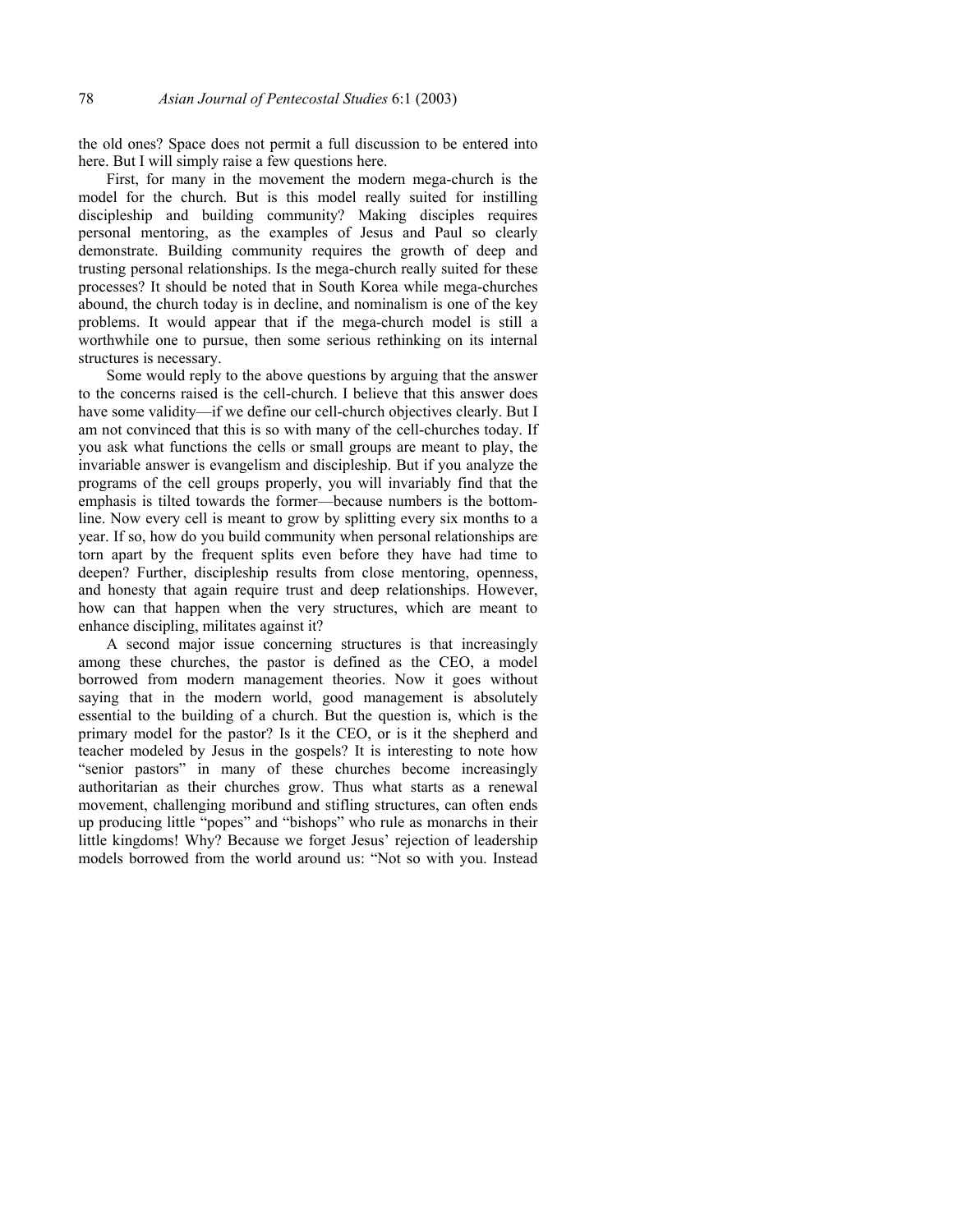the old ones? Space does not permit a full discussion to be entered into here. But I will simply raise a few questions here.

First, for many in the movement the modern mega-church is the model for the church. But is this model really suited for instilling discipleship and building community? Making disciples requires personal mentoring, as the examples of Jesus and Paul so clearly demonstrate. Building community requires the growth of deep and trusting personal relationships. Is the mega-church really suited for these processes? It should be noted that in South Korea while mega-churches abound, the church today is in decline, and nominalism is one of the key problems. It would appear that if the mega-church model is still a worthwhile one to pursue, then some serious rethinking on its internal structures is necessary.

Some would reply to the above questions by arguing that the answer to the concerns raised is the cell-church. I believe that this answer does have some validity—if we define our cell-church objectives clearly. But I am not convinced that this is so with many of the cell-churches today. If you ask what functions the cells or small groups are meant to play, the invariable answer is evangelism and discipleship. But if you analyze the programs of the cell groups properly, you will invariably find that the emphasis is tilted towards the former—because numbers is the bottomline. Now every cell is meant to grow by splitting every six months to a year. If so, how do you build community when personal relationships are torn apart by the frequent splits even before they have had time to deepen? Further, discipleship results from close mentoring, openness, and honesty that again require trust and deep relationships. However, how can that happen when the very structures, which are meant to enhance discipling, militates against it?

A second major issue concerning structures is that increasingly among these churches, the pastor is defined as the CEO, a model borrowed from modern management theories. Now it goes without saying that in the modern world, good management is absolutely essential to the building of a church. But the question is, which is the primary model for the pastor? Is it the CEO, or is it the shepherd and teacher modeled by Jesus in the gospels? It is interesting to note how "senior pastors" in many of these churches become increasingly authoritarian as their churches grow. Thus what starts as a renewal movement, challenging moribund and stifling structures, can often ends up producing little "popes" and "bishops" who rule as monarchs in their little kingdoms! Why? Because we forget Jesus' rejection of leadership models borrowed from the world around us: "Not so with you. Instead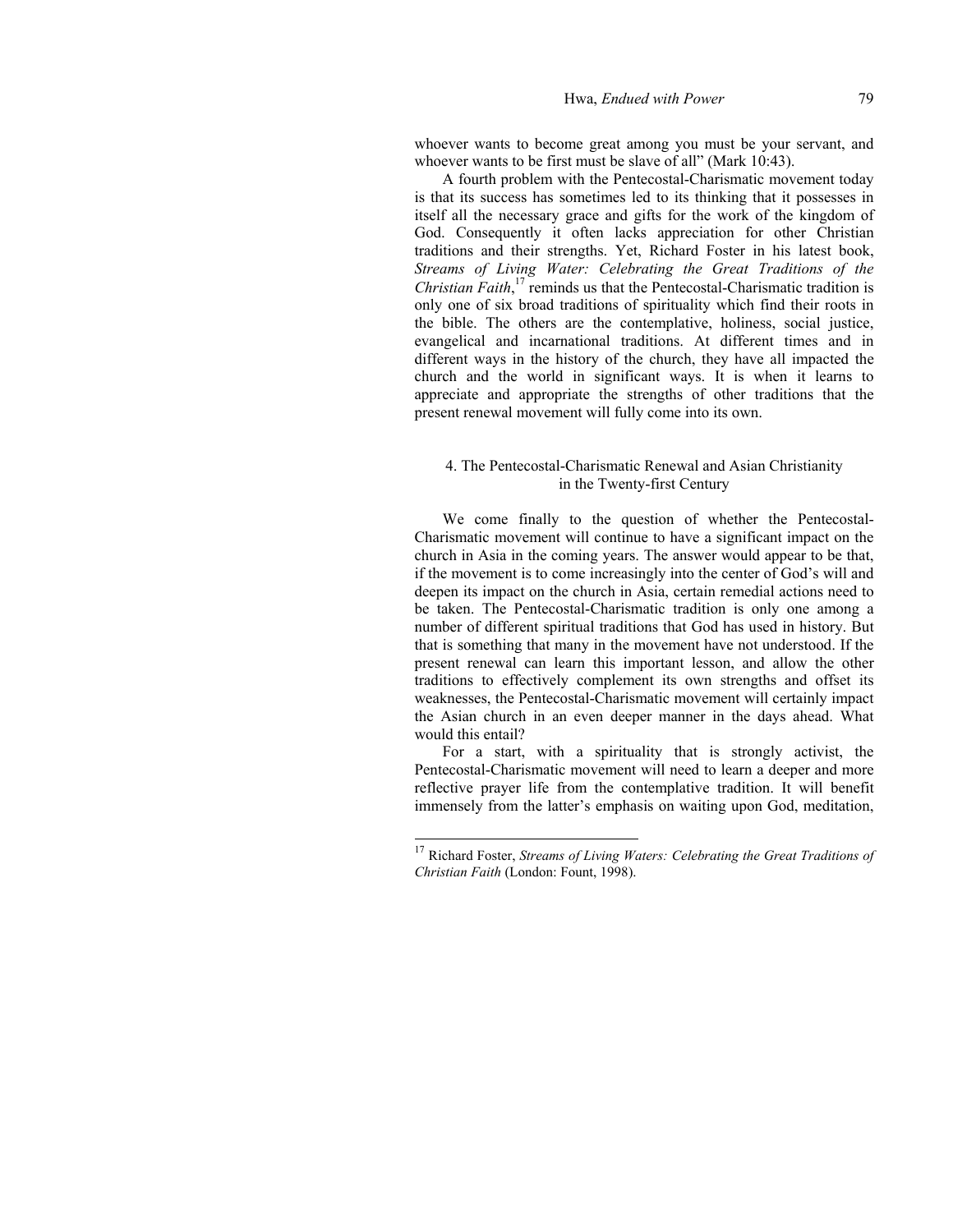A fourth problem with the Pentecostal-Charismatic movement today is that its success has sometimes led to its thinking that it possesses in itself all the necessary grace and gifts for the work of the kingdom of God. Consequently it often lacks appreciation for other Christian traditions and their strengths. Yet, Richard Foster in his latest book, *Streams of Living Water: Celebrating the Great Traditions of the Christian Faith*, 17 reminds us that the Pentecostal-Charismatic tradition is only one of six broad traditions of spirituality which find their roots in the bible. The others are the contemplative, holiness, social justice, evangelical and incarnational traditions. At different times and in different ways in the history of the church, they have all impacted the church and the world in significant ways. It is when it learns to appreciate and appropriate the strengths of other traditions that the present renewal movement will fully come into its own.

### 4. The Pentecostal-Charismatic Renewal and Asian Christianity in the Twenty-first Century

We come finally to the question of whether the Pentecostal-Charismatic movement will continue to have a significant impact on the church in Asia in the coming years. The answer would appear to be that, if the movement is to come increasingly into the center of God's will and deepen its impact on the church in Asia, certain remedial actions need to be taken. The Pentecostal-Charismatic tradition is only one among a number of different spiritual traditions that God has used in history. But that is something that many in the movement have not understood. If the present renewal can learn this important lesson, and allow the other traditions to effectively complement its own strengths and offset its weaknesses, the Pentecostal-Charismatic movement will certainly impact the Asian church in an even deeper manner in the days ahead. What would this entail?

For a start, with a spirituality that is strongly activist, the Pentecostal-Charismatic movement will need to learn a deeper and more reflective prayer life from the contemplative tradition. It will benefit immensely from the latter's emphasis on waiting upon God, meditation,

<sup>&</sup>lt;sup>17</sup> Richard Foster, *Streams of Living Waters: Celebrating the Great Traditions of Christian Faith* (London: Fount, 1998).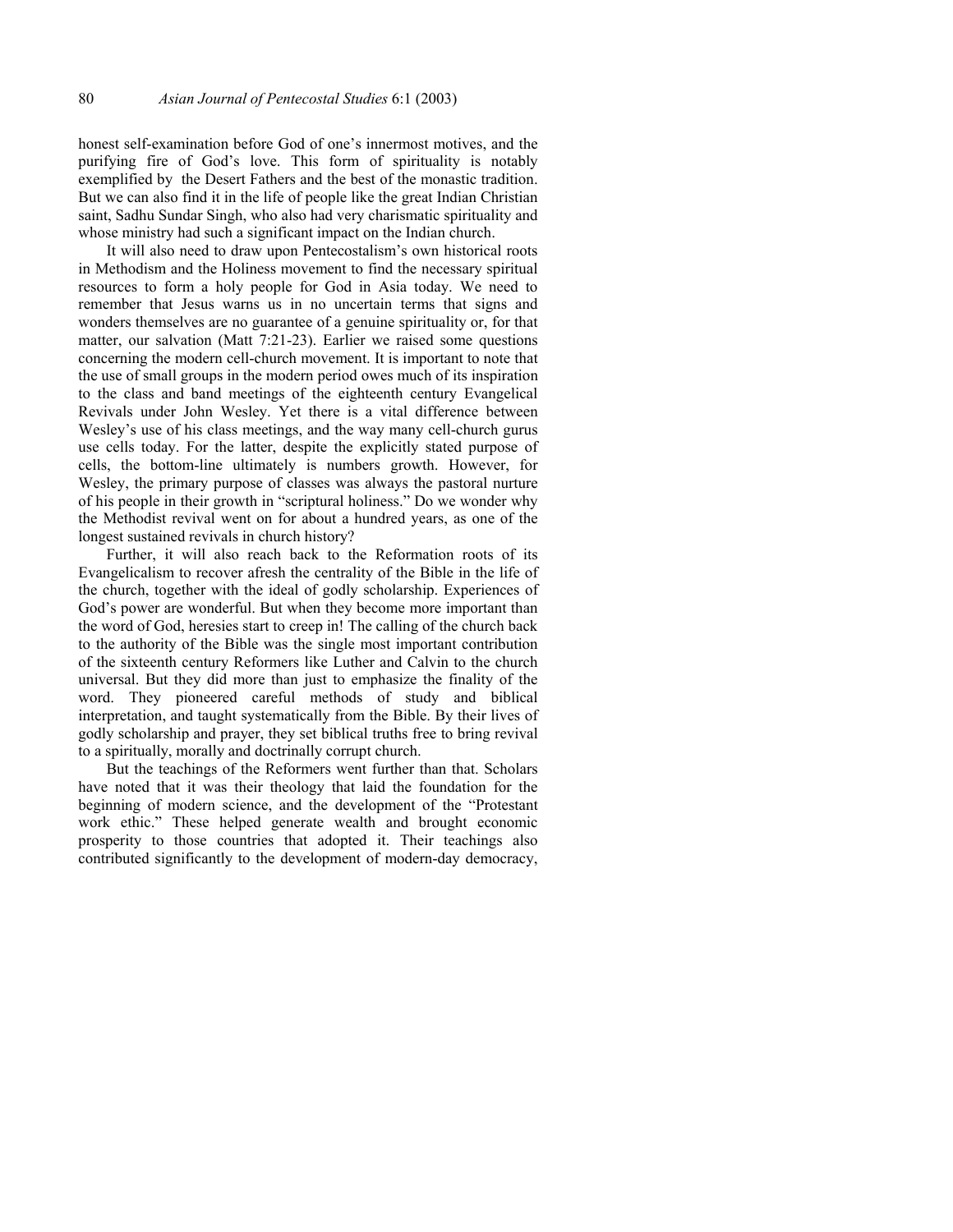honest self-examination before God of one's innermost motives, and the purifying fire of God's love. This form of spirituality is notably exemplified by the Desert Fathers and the best of the monastic tradition. But we can also find it in the life of people like the great Indian Christian saint, Sadhu Sundar Singh, who also had very charismatic spirituality and whose ministry had such a significant impact on the Indian church.

It will also need to draw upon Pentecostalism's own historical roots in Methodism and the Holiness movement to find the necessary spiritual resources to form a holy people for God in Asia today. We need to remember that Jesus warns us in no uncertain terms that signs and wonders themselves are no guarantee of a genuine spirituality or, for that matter, our salvation (Matt 7:21-23). Earlier we raised some questions concerning the modern cell-church movement. It is important to note that the use of small groups in the modern period owes much of its inspiration to the class and band meetings of the eighteenth century Evangelical Revivals under John Wesley. Yet there is a vital difference between Wesley's use of his class meetings, and the way many cell-church gurus use cells today. For the latter, despite the explicitly stated purpose of cells, the bottom-line ultimately is numbers growth. However, for Wesley, the primary purpose of classes was always the pastoral nurture of his people in their growth in "scriptural holiness." Do we wonder why the Methodist revival went on for about a hundred years, as one of the longest sustained revivals in church history?

Further, it will also reach back to the Reformation roots of its Evangelicalism to recover afresh the centrality of the Bible in the life of the church, together with the ideal of godly scholarship. Experiences of God's power are wonderful. But when they become more important than the word of God, heresies start to creep in! The calling of the church back to the authority of the Bible was the single most important contribution of the sixteenth century Reformers like Luther and Calvin to the church universal. But they did more than just to emphasize the finality of the word. They pioneered careful methods of study and biblical interpretation, and taught systematically from the Bible. By their lives of godly scholarship and prayer, they set biblical truths free to bring revival to a spiritually, morally and doctrinally corrupt church.

But the teachings of the Reformers went further than that. Scholars have noted that it was their theology that laid the foundation for the beginning of modern science, and the development of the "Protestant work ethic." These helped generate wealth and brought economic prosperity to those countries that adopted it. Their teachings also contributed significantly to the development of modern-day democracy,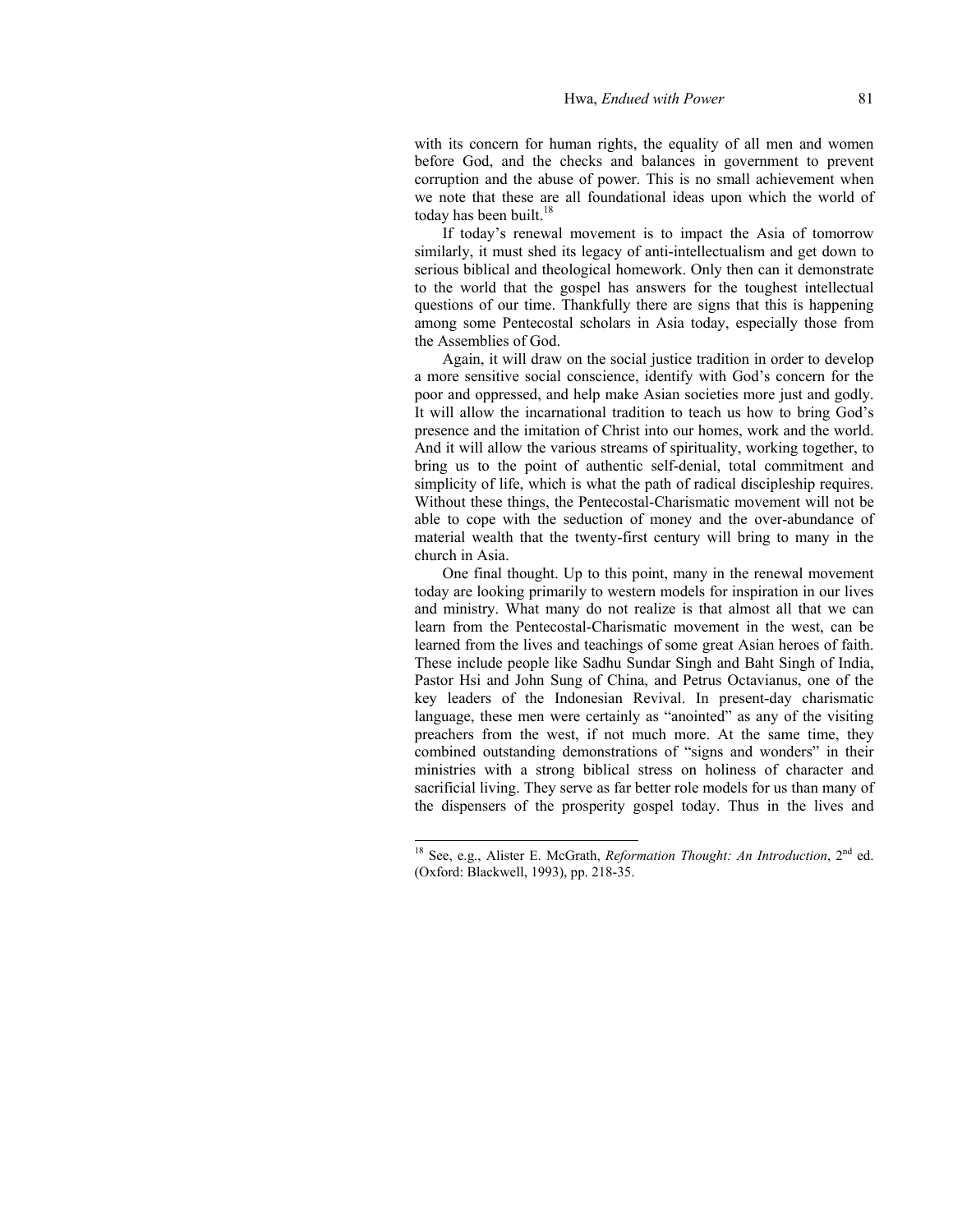with its concern for human rights, the equality of all men and women before God, and the checks and balances in government to prevent corruption and the abuse of power. This is no small achievement when we note that these are all foundational ideas upon which the world of today has been built.<sup>18</sup>

If today's renewal movement is to impact the Asia of tomorrow similarly, it must shed its legacy of anti-intellectualism and get down to serious biblical and theological homework. Only then can it demonstrate to the world that the gospel has answers for the toughest intellectual questions of our time. Thankfully there are signs that this is happening among some Pentecostal scholars in Asia today, especially those from the Assemblies of God.

Again, it will draw on the social justice tradition in order to develop a more sensitive social conscience, identify with God's concern for the poor and oppressed, and help make Asian societies more just and godly. It will allow the incarnational tradition to teach us how to bring God's presence and the imitation of Christ into our homes, work and the world. And it will allow the various streams of spirituality, working together, to bring us to the point of authentic self-denial, total commitment and simplicity of life, which is what the path of radical discipleship requires. Without these things, the Pentecostal-Charismatic movement will not be able to cope with the seduction of money and the over-abundance of material wealth that the twenty-first century will bring to many in the church in Asia.

One final thought. Up to this point, many in the renewal movement today are looking primarily to western models for inspiration in our lives and ministry. What many do not realize is that almost all that we can learn from the Pentecostal-Charismatic movement in the west, can be learned from the lives and teachings of some great Asian heroes of faith. These include people like Sadhu Sundar Singh and Baht Singh of India, Pastor Hsi and John Sung of China, and Petrus Octavianus, one of the key leaders of the Indonesian Revival. In present-day charismatic language, these men were certainly as "anointed" as any of the visiting preachers from the west, if not much more. At the same time, they combined outstanding demonstrations of "signs and wonders" in their ministries with a strong biblical stress on holiness of character and sacrificial living. They serve as far better role models for us than many of the dispensers of the prosperity gospel today. Thus in the lives and

<sup>18</sup> See, e.g., Alister E. McGrath, *Reformation Thought: An Introduction*, 2nd ed. (Oxford: Blackwell, 1993), pp. 218-35.